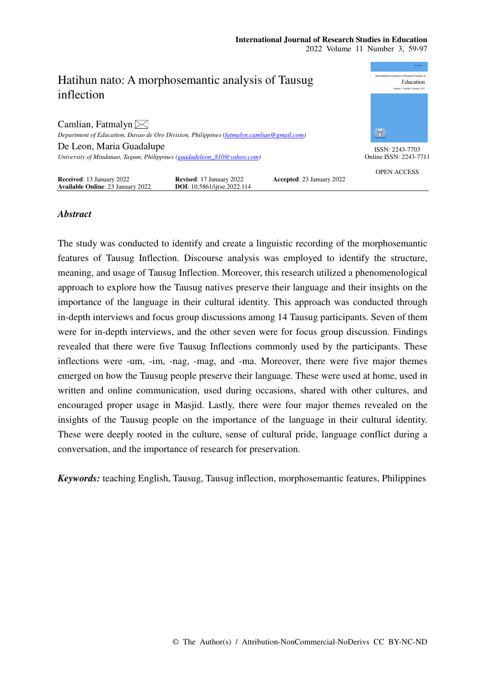

# *Abstract*

The study was conducted to identify and create a linguistic recording of the morphosemantic features of Tausug Inflection. Discourse analysis was employed to identify the structure, meaning, and usage of Tausug Inflection. Moreover, this research utilized a phenomenological approach to explore how the Tausug natives preserve their language and their insights on the importance of the language in their cultural identity. This approach was conducted through in-depth interviews and focus group discussions among 14 Tausug participants. Seven of them were for in-depth interviews, and the other seven were for focus group discussion. Findings revealed that there were five Tausug Inflections commonly used by the participants. These inflections were -um, -im, -nag, -mag, and -ma. Moreover, there were five major themes emerged on how the Tausug people preserve their language. These were used at home, used in written and online communication, used during occasions, shared with other cultures, and encouraged proper usage in Masjid. Lastly, there were four major themes revealed on the insights of the Tausug people on the importance of the language in their cultural identity. These were deeply rooted in the culture, sense of cultural pride, language conflict during a conversation, and the importance of research for preservation.

*Keywords:* teaching English, Tausug, Tausug inflection, morphosemantic features, Philippines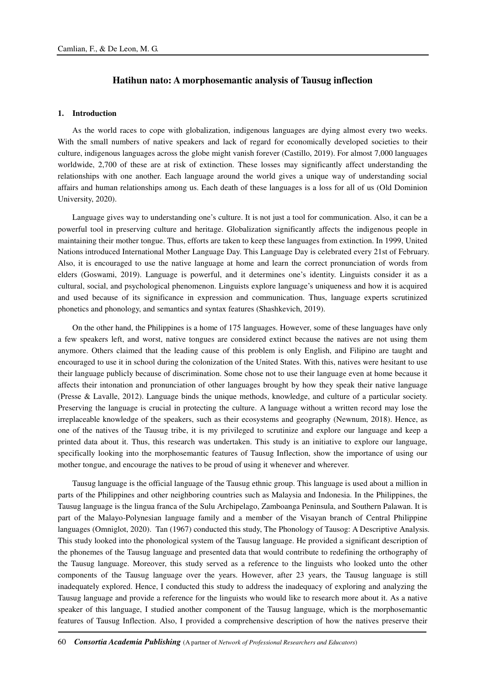## **Hatihun nato: A morphosemantic analysis of Tausug inflection**

### **1. Introduction**

As the world races to cope with globalization, indigenous languages are dying almost every two weeks. With the small numbers of native speakers and lack of regard for economically developed societies to their culture, indigenous languages across the globe might vanish forever (Castillo, 2019). For almost 7,000 languages worldwide, 2,700 of these are at risk of extinction. These losses may significantly affect understanding the relationships with one another. Each language around the world gives a unique way of understanding social affairs and human relationships among us. Each death of these languages is a loss for all of us (Old Dominion University, 2020).

Language gives way to understanding one's culture. It is not just a tool for communication. Also, it can be a powerful tool in preserving culture and heritage. Globalization significantly affects the indigenous people in maintaining their mother tongue. Thus, efforts are taken to keep these languages from extinction. In 1999, United Nations introduced International Mother Language Day. This Language Day is celebrated every 21st of February. Also, it is encouraged to use the native language at home and learn the correct pronunciation of words from elders (Goswami, 2019). Language is powerful, and it determines one's identity. Linguists consider it as a cultural, social, and psychological phenomenon. Linguists explore language's uniqueness and how it is acquired and used because of its significance in expression and communication. Thus, language experts scrutinized phonetics and phonology, and semantics and syntax features (Shashkevich, 2019).

On the other hand, the Philippines is a home of 175 languages. However, some of these languages have only a few speakers left, and worst, native tongues are considered extinct because the natives are not using them anymore. Others claimed that the leading cause of this problem is only English, and Filipino are taught and encouraged to use it in school during the colonization of the United States. With this, natives were hesitant to use their language publicly because of discrimination. Some chose not to use their language even at home because it affects their intonation and pronunciation of other languages brought by how they speak their native language (Presse & Lavalle, 2012). Language binds the unique methods, knowledge, and culture of a particular society. Preserving the language is crucial in protecting the culture. A language without a written record may lose the irreplaceable knowledge of the speakers, such as their ecosystems and geography (Newnum, 2018). Hence, as one of the natives of the Tausug tribe, it is my privileged to scrutinize and explore our language and keep a printed data about it. Thus, this research was undertaken. This study is an initiative to explore our language, specifically looking into the morphosemantic features of Tausug Inflection, show the importance of using our mother tongue, and encourage the natives to be proud of using it whenever and wherever.

Tausug language is the official language of the Tausug ethnic group. This language is used about a million in parts of the Philippines and other neighboring countries such as Malaysia and Indonesia. In the Philippines, the Tausug language is the lingua franca of the Sulu Archipelago, Zamboanga Peninsula, and Southern Palawan. It is part of the Malayo-Polynesian language family and a member of the Visayan branch of Central Philippine languages (Omniglot, 2020). Tan (1967) conducted this study, The Phonology of Tausog: A Descriptive Analysis. This study looked into the phonological system of the Tausug language. He provided a significant description of the phonemes of the Tausug language and presented data that would contribute to redefining the orthography of the Tausug language. Moreover, this study served as a reference to the linguists who looked unto the other components of the Tausug language over the years. However, after 23 years, the Tausug language is still inadequately explored. Hence, I conducted this study to address the inadequacy of exploring and analyzing the Tausug language and provide a reference for the linguists who would like to research more about it. As a native speaker of this language, I studied another component of the Tausug language, which is the morphosemantic features of Tausug Inflection. Also, I provided a comprehensive description of how the natives preserve their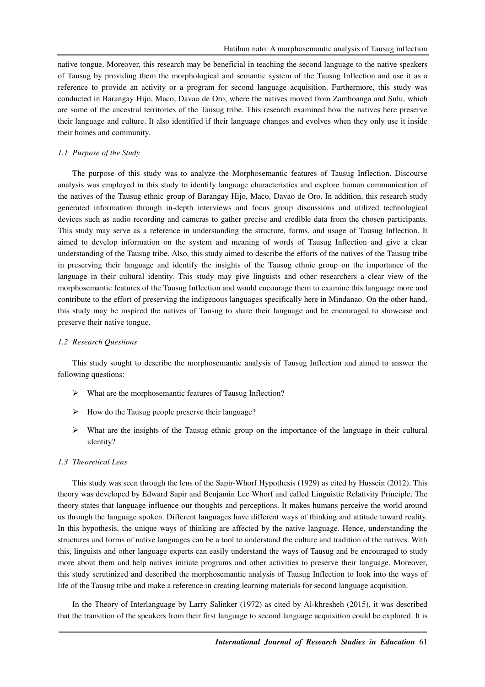native tongue. Moreover, this research may be beneficial in teaching the second language to the native speakers of Tausug by providing them the morphological and semantic system of the Tausug Inflection and use it as a reference to provide an activity or a program for second language acquisition. Furthermore, this study was conducted in Barangay Hijo, Maco, Davao de Oro, where the natives moved from Zamboanga and Sulu, which are some of the ancestral territories of the Tausug tribe. This research examined how the natives here preserve their language and culture. It also identified if their language changes and evolves when they only use it inside their homes and community.

### *1.1 Purpose of the Study*

The purpose of this study was to analyze the Morphosemantic features of Tausug Inflection. Discourse analysis was employed in this study to identify language characteristics and explore human communication of the natives of the Tausug ethnic group of Barangay Hijo, Maco, Davao de Oro. In addition, this research study generated information through in-depth interviews and focus group discussions and utilized technological devices such as audio recording and cameras to gather precise and credible data from the chosen participants. This study may serve as a reference in understanding the structure, forms, and usage of Tausug Inflection. It aimed to develop information on the system and meaning of words of Tausug Inflection and give a clear understanding of the Tausug tribe. Also, this study aimed to describe the efforts of the natives of the Tausug tribe in preserving their language and identify the insights of the Tausug ethnic group on the importance of the language in their cultural identity. This study may give linguists and other researchers a clear view of the morphosemantic features of the Tausug Inflection and would encourage them to examine this language more and contribute to the effort of preserving the indigenous languages specifically here in Mindanao. On the other hand, this study may be inspired the natives of Tausug to share their language and be encouraged to showcase and preserve their native tongue.

### *1.2 Research Questions*

This study sought to describe the morphosemantic analysis of Tausug Inflection and aimed to answer the following questions:

- What are the morphosemantic features of Tausug Inflection?
- $\triangleright$  How do the Tausug people preserve their language?
- $\triangleright$  What are the insights of the Tausug ethnic group on the importance of the language in their cultural identity?

## *1.3 Theoretical Lens*

This study was seen through the lens of the Sapir-Whorf Hypothesis (1929) as cited by Hussein (2012). This theory was developed by Edward Sapir and Benjamin Lee Whorf and called Linguistic Relativity Principle. The theory states that language influence our thoughts and perceptions. It makes humans perceive the world around us through the language spoken. Different languages have different ways of thinking and attitude toward reality. In this hypothesis, the unique ways of thinking are affected by the native language. Hence, understanding the structures and forms of native languages can be a tool to understand the culture and tradition of the natives. With this, linguists and other language experts can easily understand the ways of Tausug and be encouraged to study more about them and help natives initiate programs and other activities to preserve their language. Moreover, this study scrutinized and described the morphosemantic analysis of Tausug Inflection to look into the ways of life of the Tausug tribe and make a reference in creating learning materials for second language acquisition.

In the Theory of Interlanguage by Larry Salinker (1972) as cited by Al-khresheh (2015), it was described that the transition of the speakers from their first language to second language acquisition could be explored. It is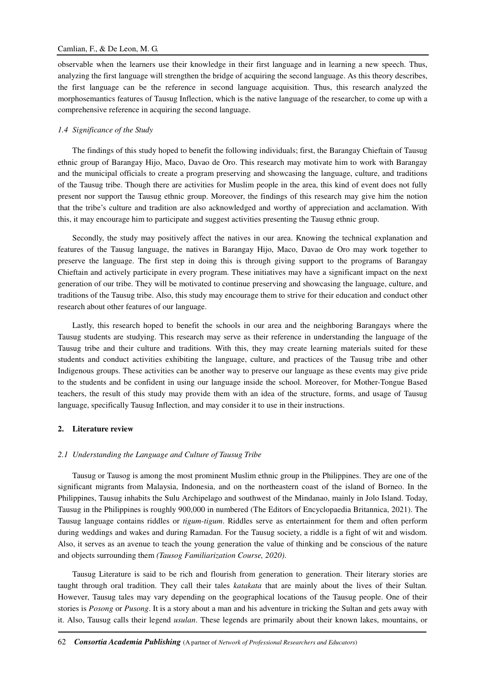## Camlian, F., & De Leon, M. G.

observable when the learners use their knowledge in their first language and in learning a new speech. Thus, analyzing the first language will strengthen the bridge of acquiring the second language. As this theory describes, the first language can be the reference in second language acquisition. Thus, this research analyzed the morphosemantics features of Tausug Inflection, which is the native language of the researcher, to come up with a comprehensive reference in acquiring the second language.

### *1.4 Significance of the Study*

The findings of this study hoped to benefit the following individuals; first, the Barangay Chieftain of Tausug ethnic group of Barangay Hijo, Maco, Davao de Oro. This research may motivate him to work with Barangay and the municipal officials to create a program preserving and showcasing the language, culture, and traditions of the Tausug tribe. Though there are activities for Muslim people in the area, this kind of event does not fully present nor support the Tausug ethnic group. Moreover, the findings of this research may give him the notion that the tribe's culture and tradition are also acknowledged and worthy of appreciation and acclamation. With this, it may encourage him to participate and suggest activities presenting the Tausug ethnic group.

Secondly, the study may positively affect the natives in our area. Knowing the technical explanation and features of the Tausug language, the natives in Barangay Hijo, Maco, Davao de Oro may work together to preserve the language. The first step in doing this is through giving support to the programs of Barangay Chieftain and actively participate in every program. These initiatives may have a significant impact on the next generation of our tribe. They will be motivated to continue preserving and showcasing the language, culture, and traditions of the Tausug tribe. Also, this study may encourage them to strive for their education and conduct other research about other features of our language.

Lastly, this research hoped to benefit the schools in our area and the neighboring Barangays where the Tausug students are studying. This research may serve as their reference in understanding the language of the Tausug tribe and their culture and traditions. With this, they may create learning materials suited for these students and conduct activities exhibiting the language, culture, and practices of the Tausug tribe and other Indigenous groups. These activities can be another way to preserve our language as these events may give pride to the students and be confident in using our language inside the school. Moreover, for Mother-Tongue Based teachers, the result of this study may provide them with an idea of the structure, forms, and usage of Tausug language, specifically Tausug Inflection, and may consider it to use in their instructions.

### **2. Literature review**

#### *2.1 Understanding the Language and Culture of Tausug Tribe*

Tausug or Tausog is among the most prominent Muslim ethnic group in the Philippines. They are one of the significant migrants from Malaysia, Indonesia, and on the northeastern coast of the island of Borneo. In the Philippines, Tausug inhabits the Sulu Archipelago and southwest of the Mindanao, mainly in Jolo Island. Today, Tausug in the Philippines is roughly 900,000 in numbered (The Editors of Encyclopaedia Britannica, 2021). The Tausug language contains riddles or *tigum-tigum*. Riddles serve as entertainment for them and often perform during weddings and wakes and during Ramadan. For the Tausug society, a riddle is a fight of wit and wisdom. Also, it serves as an avenue to teach the young generation the value of thinking and be conscious of the nature and objects surrounding them *(Tausog Familiarization Course, 2020)*.

Tausug Literature is said to be rich and flourish from generation to generation. Their literary stories are taught through oral tradition. They call their tales *katakata* that are mainly about the lives of their Sultan*.*  However, Tausug tales may vary depending on the geographical locations of the Tausug people. One of their stories is *Posong* or *Pusong*. It is a story about a man and his adventure in tricking the Sultan and gets away with it. Also, Tausug calls their legend *usulan*. These legends are primarily about their known lakes, mountains, or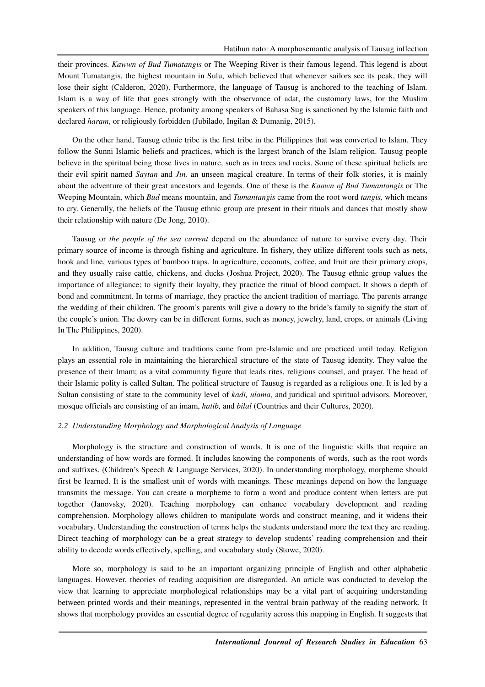their provinces. *Kawwn of Bud Tumatangis* or The Weeping River is their famous legend. This legend is about Mount Tumatangis, the highest mountain in Sulu, which believed that whenever sailors see its peak, they will lose their sight (Calderon, 2020). Furthermore, the language of Tausug is anchored to the teaching of Islam. Islam is a way of life that goes strongly with the observance of adat, the customary laws, for the Muslim speakers of this language. Hence, profanity among speakers of Bahasa Sug is sanctioned by the Islamic faith and declared *haram*, or religiously forbidden (Jubilado, Ingilan & Dumanig, 2015).

On the other hand, Tausug ethnic tribe is the first tribe in the Philippines that was converted to Islam. They follow the Sunni Islamic beliefs and practices, which is the largest branch of the Islam religion. Tausug people believe in the spiritual being those lives in nature, such as in trees and rocks. Some of these spiritual beliefs are their evil spirit named *Saytan* and *Jin,* an unseen magical creature. In terms of their folk stories, it is mainly about the adventure of their great ancestors and legends. One of these is the *Kaawn of Bud Tumantangis* or The Weeping Mountain, which *Bud* means mountain, and *Tumantangis* came from the root word *tangis,* which means to cry. Generally, the beliefs of the Tausug ethnic group are present in their rituals and dances that mostly show their relationship with nature (De Jong, 2010).

Tausug or *the people of the sea current* depend on the abundance of nature to survive every day. Their primary source of income is through fishing and agriculture. In fishery, they utilize different tools such as nets, hook and line, various types of bamboo traps. In agriculture, coconuts, coffee, and fruit are their primary crops, and they usually raise cattle, chickens, and ducks (Joshua Project, 2020). The Tausug ethnic group values the importance of allegiance; to signify their loyalty, they practice the ritual of blood compact. It shows a depth of bond and commitment. In terms of marriage, they practice the ancient tradition of marriage. The parents arrange the wedding of their children. The groom's parents will give a dowry to the bride's family to signify the start of the couple's union. The dowry can be in different forms, such as money, jewelry, land, crops, or animals (Living In The Philippines, 2020).

In addition, Tausug culture and traditions came from pre-Islamic and are practiced until today. Religion plays an essential role in maintaining the hierarchical structure of the state of Tausug identity. They value the presence of their Imam; as a vital community figure that leads rites, religious counsel, and prayer. The head of their Islamic polity is called Sultan. The political structure of Tausug is regarded as a religious one. It is led by a Sultan consisting of state to the community level of *kadi, ulama,* and juridical and spiritual advisors. Moreover, mosque officials are consisting of an imam, *hatib,* and *bilal* (Countries and their Cultures, 2020).

#### *2.2 Understanding Morphology and Morphological Analysis of Language*

Morphology is the structure and construction of words. It is one of the linguistic skills that require an understanding of how words are formed. It includes knowing the components of words, such as the root words and suffixes. (Children's Speech & Language Services, 2020). In understanding morphology, morpheme should first be learned. It is the smallest unit of words with meanings. These meanings depend on how the language transmits the message. You can create a morpheme to form a word and produce content when letters are put together (Janovsky, 2020). Teaching morphology can enhance vocabulary development and reading comprehension. Morphology allows children to manipulate words and construct meaning, and it widens their vocabulary. Understanding the construction of terms helps the students understand more the text they are reading. Direct teaching of morphology can be a great strategy to develop students' reading comprehension and their ability to decode words effectively, spelling, and vocabulary study (Stowe, 2020).

More so, morphology is said to be an important organizing principle of English and other alphabetic languages. However, theories of reading acquisition are disregarded. An article was conducted to develop the view that learning to appreciate morphological relationships may be a vital part of acquiring understanding between printed words and their meanings, represented in the ventral brain pathway of the reading network. It shows that morphology provides an essential degree of regularity across this mapping in English. It suggests that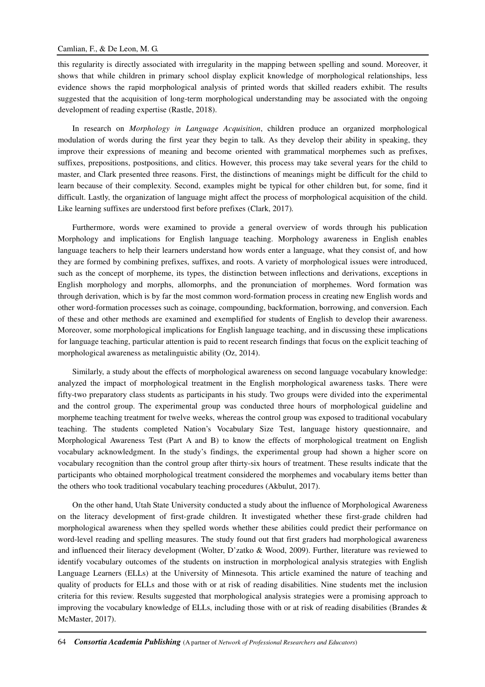this regularity is directly associated with irregularity in the mapping between spelling and sound. Moreover, it shows that while children in primary school display explicit knowledge of morphological relationships, less evidence shows the rapid morphological analysis of printed words that skilled readers exhibit. The results suggested that the acquisition of long-term morphological understanding may be associated with the ongoing development of reading expertise (Rastle, 2018).

In research on *Morphology in Language Acquisition*, children produce an organized morphological modulation of words during the first year they begin to talk. As they develop their ability in speaking, they improve their expressions of meaning and become oriented with grammatical morphemes such as prefixes, suffixes, prepositions, postpositions, and clitics. However, this process may take several years for the child to master, and Clark presented three reasons. First, the distinctions of meanings might be difficult for the child to learn because of their complexity. Second, examples might be typical for other children but, for some, find it difficult. Lastly, the organization of language might affect the process of morphological acquisition of the child. Like learning suffixes are understood first before prefixes (Clark, 2017)*.* 

Furthermore, words were examined to provide a general overview of words through his publication Morphology and implications for English language teaching. Morphology awareness in English enables language teachers to help their learners understand how words enter a language, what they consist of, and how they are formed by combining prefixes, suffixes, and roots. A variety of morphological issues were introduced, such as the concept of morpheme, its types, the distinction between inflections and derivations, exceptions in English morphology and morphs, allomorphs, and the pronunciation of morphemes. Word formation was through derivation, which is by far the most common word-formation process in creating new English words and other word-formation processes such as coinage, compounding, backformation, borrowing, and conversion. Each of these and other methods are examined and exemplified for students of English to develop their awareness. Moreover, some morphological implications for English language teaching, and in discussing these implications for language teaching, particular attention is paid to recent research findings that focus on the explicit teaching of morphological awareness as metalinguistic ability (Oz, 2014).

Similarly, a study about the effects of morphological awareness on second language vocabulary knowledge: analyzed the impact of morphological treatment in the English morphological awareness tasks. There were fifty-two preparatory class students as participants in his study. Two groups were divided into the experimental and the control group. The experimental group was conducted three hours of morphological guideline and morpheme teaching treatment for twelve weeks, whereas the control group was exposed to traditional vocabulary teaching. The students completed Nation's Vocabulary Size Test, language history questionnaire, and Morphological Awareness Test (Part A and B) to know the effects of morphological treatment on English vocabulary acknowledgment. In the study's findings, the experimental group had shown a higher score on vocabulary recognition than the control group after thirty-six hours of treatment. These results indicate that the participants who obtained morphological treatment considered the morphemes and vocabulary items better than the others who took traditional vocabulary teaching procedures (Akbulut, 2017).

On the other hand, Utah State University conducted a study about the influence of Morphological Awareness on the literacy development of first-grade children. It investigated whether these first-grade children had morphological awareness when they spelled words whether these abilities could predict their performance on word-level reading and spelling measures. The study found out that first graders had morphological awareness and influenced their literacy development (Wolter, D'zatko & Wood, 2009). Further, literature was reviewed to identify vocabulary outcomes of the students on instruction in morphological analysis strategies with English Language Learners (ELLs) at the University of Minnesota. This article examined the nature of teaching and quality of products for ELLs and those with or at risk of reading disabilities. Nine students met the inclusion criteria for this review. Results suggested that morphological analysis strategies were a promising approach to improving the vocabulary knowledge of ELLs, including those with or at risk of reading disabilities (Brandes & McMaster, 2017).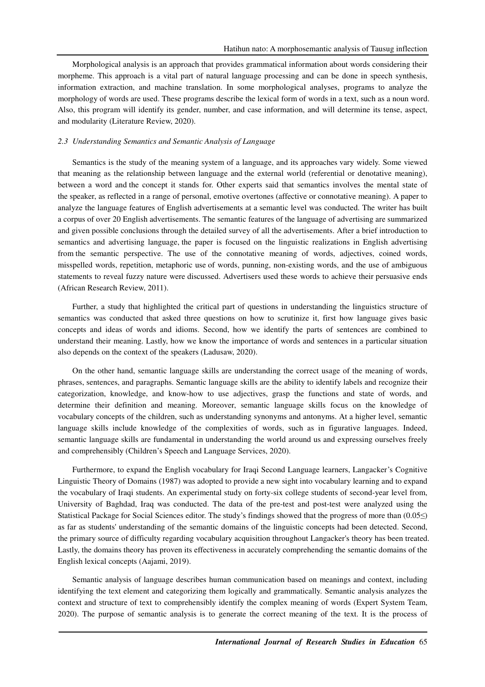Morphological analysis is an approach that provides grammatical information about words considering their morpheme. This approach is a vital part of natural language processing and can be done in speech synthesis, information extraction, and machine translation. In some morphological analyses, programs to analyze the morphology of words are used. These programs describe the lexical form of words in a text, such as a noun word. Also, this program will identify its gender, number, and case information, and will determine its tense, aspect, and modularity (Literature Review, 2020).

#### *2.3 Understanding Semantics and Semantic Analysis of Language*

Semantics is the study of the meaning system of a language, and its approaches vary widely. Some viewed that meaning as the relationship between language and the external world (referential or denotative meaning), between a word and the concept it stands for. Other experts said that semantics involves the mental state of the speaker, as reflected in a range of personal, emotive overtones (affective or connotative meaning). A paper to analyze the language features of English advertisements at a semantic level was conducted. The writer has built a corpus of over 20 English advertisements. The semantic features of the language of advertising are summarized and given possible conclusions through the detailed survey of all the advertisements. After a brief introduction to semantics and advertising language, the paper is focused on the linguistic realizations in English advertising from the semantic perspective. The use of the connotative meaning of words, adjectives, coined words, misspelled words, repetition, metaphoric use of words, punning, non-existing words, and the use of ambiguous statements to reveal fuzzy nature were discussed. Advertisers used these words to achieve their persuasive ends (African Research Review, 2011).

Further, a study that highlighted the critical part of questions in understanding the linguistics structure of semantics was conducted that asked three questions on how to scrutinize it, first how language gives basic concepts and ideas of words and idioms. Second, how we identify the parts of sentences are combined to understand their meaning. Lastly, how we know the importance of words and sentences in a particular situation also depends on the context of the speakers (Ladusaw, 2020).

On the other hand, semantic language skills are understanding the correct usage of the meaning of words, phrases, sentences, and paragraphs. Semantic language skills are the ability to identify labels and recognize their categorization, knowledge, and know-how to use adjectives, grasp the functions and state of words, and determine their definition and meaning. Moreover, semantic language skills focus on the knowledge of vocabulary concepts of the children, such as understanding synonyms and antonyms. At a higher level, semantic language skills include knowledge of the complexities of words, such as in figurative languages. Indeed, semantic language skills are fundamental in understanding the world around us and expressing ourselves freely and comprehensibly (Children's Speech and Language Services, 2020).

Furthermore, to expand the English vocabulary for Iraqi Second Language learners, Langacker's Cognitive Linguistic Theory of Domains (1987) was adopted to provide a new sight into vocabulary learning and to expand the vocabulary of Iraqi students. An experimental study on forty-six college students of second-year level from, University of Baghdad, Iraq was conducted. The data of the pre-test and post-test were analyzed using the Statistical Package for Social Sciences editor. The study's findings showed that the progress of more than (0.05≤) as far as students' understanding of the semantic domains of the linguistic concepts had been detected. Second, the primary source of difficulty regarding vocabulary acquisition throughout Langacker's theory has been treated. Lastly, the domains theory has proven its effectiveness in accurately comprehending the semantic domains of the English lexical concepts (Aajami, 2019).

Semantic analysis of language describes human communication based on meanings and context, including identifying the text element and categorizing them logically and grammatically. Semantic analysis analyzes the context and structure of text to comprehensibly identify the complex meaning of words (Expert System Team, 2020). The purpose of semantic analysis is to generate the correct meaning of the text. It is the process of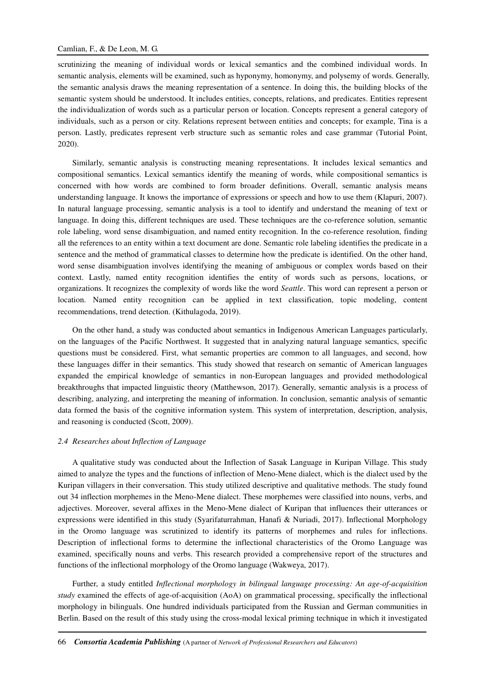scrutinizing the meaning of individual words or lexical semantics and the combined individual words. In semantic analysis, elements will be examined, such as hyponymy, homonymy, and polysemy of words. Generally, the semantic analysis draws the meaning representation of a sentence. In doing this, the building blocks of the semantic system should be understood. It includes entities, concepts, relations, and predicates. Entities represent the individualization of words such as a particular person or location. Concepts represent a general category of individuals, such as a person or city. Relations represent between entities and concepts; for example, Tina is a person. Lastly, predicates represent verb structure such as semantic roles and case grammar (Tutorial Point, 2020).

Similarly, semantic analysis is constructing meaning representations. It includes lexical semantics and compositional semantics. Lexical semantics identify the meaning of words, while compositional semantics is concerned with how words are combined to form broader definitions. Overall, semantic analysis means understanding language. It knows the importance of expressions or speech and how to use them (Klapuri, 2007). In natural language processing, semantic analysis is a tool to identify and understand the meaning of text or language. In doing this, different techniques are used. These techniques are the co-reference solution, semantic role labeling, word sense disambiguation, and named entity recognition. In the co-reference resolution, finding all the references to an entity within a text document are done. Semantic role labeling identifies the predicate in a sentence and the method of grammatical classes to determine how the predicate is identified. On the other hand, word sense disambiguation involves identifying the meaning of ambiguous or complex words based on their context. Lastly, named entity recognition identifies the entity of words such as persons, locations, or organizations. It recognizes the complexity of words like the word *Seattle*. This word can represent a person or location. Named entity recognition can be applied in text classification, topic modeling, content recommendations, trend detection. (Kithulagoda, 2019).

On the other hand, a study was conducted about semantics in Indigenous American Languages particularly, on the languages of the Pacific Northwest. It suggested that in analyzing natural language semantics, specific questions must be considered. First, what semantic properties are common to all languages, and second, how these languages differ in their semantics. This study showed that research on semantic of American languages expanded the empirical knowledge of semantics in non-European languages and provided methodological breakthroughs that impacted linguistic theory (Matthewson, 2017). Generally, semantic analysis is a process of describing, analyzing, and interpreting the meaning of information. In conclusion, semantic analysis of semantic data formed the basis of the cognitive information system. This system of interpretation, description, analysis, and reasoning is conducted (Scott, 2009).

#### *2.4 Researches about Inflection of Language*

A qualitative study was conducted about the Inflection of Sasak Language in Kuripan Village. This study aimed to analyze the types and the functions of inflection of Meno-Mene dialect, which is the dialect used by the Kuripan villagers in their conversation. This study utilized descriptive and qualitative methods. The study found out 34 inflection morphemes in the Meno-Mene dialect. These morphemes were classified into nouns, verbs, and adjectives. Moreover, several affixes in the Meno-Mene dialect of Kuripan that influences their utterances or expressions were identified in this study (Syarifaturrahman, Hanafi & Nuriadi, 2017). Inflectional Morphology in the Oromo language was scrutinized to identify its patterns of morphemes and rules for inflections. Description of inflectional forms to determine the inflectional characteristics of the Oromo Language was examined, specifically nouns and verbs. This research provided a comprehensive report of the structures and functions of the inflectional morphology of the Oromo language (Wakweya, 2017).

Further, a study entitled *Inflectional morphology in bilingual language processing: An age-of-acquisition study* examined the effects of age-of-acquisition (AoA) on grammatical processing, specifically the inflectional morphology in bilinguals. One hundred individuals participated from the Russian and German communities in Berlin. Based on the result of this study using the cross-modal lexical priming technique in which it investigated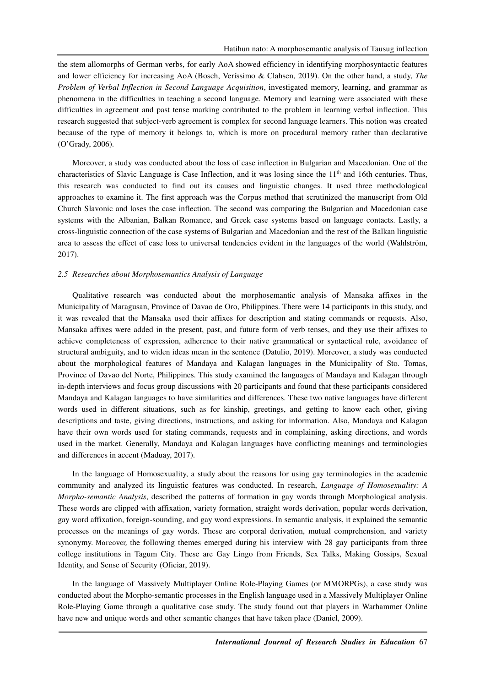the stem allomorphs of German verbs, for early AoA showed efficiency in identifying morphosyntactic features and lower efficiency for increasing AoA (Bosch, Veríssimo & Clahsen, 2019). On the other hand, a study, *The Problem of Verbal Inflection in Second Language Acquisition*, investigated memory, learning, and grammar as phenomena in the difficulties in teaching a second language. Memory and learning were associated with these difficulties in agreement and past tense marking contributed to the problem in learning verbal inflection. This research suggested that subject-verb agreement is complex for second language learners. This notion was created because of the type of memory it belongs to, which is more on procedural memory rather than declarative (O'Grady, 2006).

Moreover, a study was conducted about the loss of case inflection in Bulgarian and Macedonian. One of the characteristics of Slavic Language is Case Inflection, and it was losing since the  $11<sup>th</sup>$  and 16th centuries. Thus, this research was conducted to find out its causes and linguistic changes. It used three methodological approaches to examine it. The first approach was the Corpus method that scrutinized the manuscript from Old Church Slavonic and loses the case inflection. The second was comparing the Bulgarian and Macedonian case systems with the Albanian, Balkan Romance, and Greek case systems based on language contacts. Lastly, a cross-linguistic connection of the case systems of Bulgarian and Macedonian and the rest of the Balkan linguistic area to assess the effect of case loss to universal tendencies evident in the languages of the world (Wahlström, 2017).

### *2.5 Researches about Morphosemantics Analysis of Language*

Qualitative research was conducted about the morphosemantic analysis of Mansaka affixes in the Municipality of Maragusan, Province of Davao de Oro, Philippines. There were 14 participants in this study, and it was revealed that the Mansaka used their affixes for description and stating commands or requests. Also, Mansaka affixes were added in the present, past, and future form of verb tenses, and they use their affixes to achieve completeness of expression, adherence to their native grammatical or syntactical rule, avoidance of structural ambiguity, and to widen ideas mean in the sentence (Datulio, 2019). Moreover, a study was conducted about the morphological features of Mandaya and Kalagan languages in the Municipality of Sto. Tomas, Province of Davao del Norte, Philippines. This study examined the languages of Mandaya and Kalagan through in-depth interviews and focus group discussions with 20 participants and found that these participants considered Mandaya and Kalagan languages to have similarities and differences. These two native languages have different words used in different situations, such as for kinship, greetings, and getting to know each other, giving descriptions and taste, giving directions, instructions, and asking for information. Also, Mandaya and Kalagan have their own words used for stating commands, requests and in complaining, asking directions, and words used in the market. Generally, Mandaya and Kalagan languages have conflicting meanings and terminologies and differences in accent (Maduay, 2017).

In the language of Homosexuality, a study about the reasons for using gay terminologies in the academic community and analyzed its linguistic features was conducted. In research, *Language of Homosexuality: A Morpho-semantic Analysis*, described the patterns of formation in gay words through Morphological analysis. These words are clipped with affixation, variety formation, straight words derivation, popular words derivation, gay word affixation, foreign-sounding, and gay word expressions. In semantic analysis, it explained the semantic processes on the meanings of gay words. These are corporal derivation, mutual comprehension, and variety synonymy. Moreover, the following themes emerged during his interview with 28 gay participants from three college institutions in Tagum City. These are Gay Lingo from Friends, Sex Talks, Making Gossips, Sexual Identity, and Sense of Security (Oficiar, 2019).

In the language of Massively Multiplayer Online Role-Playing Games (or MMORPGs), a case study was conducted about the Morpho-semantic processes in the English language used in a Massively Multiplayer Online Role-Playing Game through a qualitative case study. The study found out that players in Warhammer Online have new and unique words and other semantic changes that have taken place (Daniel, 2009).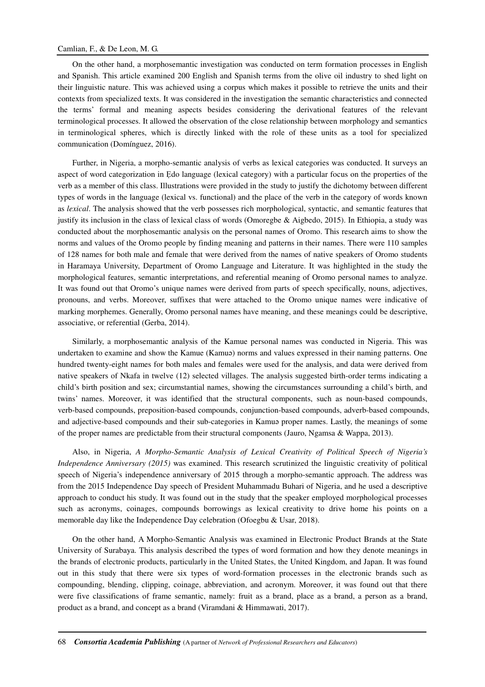### Camlian, F., & De Leon, M. G.

On the other hand, a morphosemantic investigation was conducted on term formation processes in English and Spanish. This article examined 200 English and Spanish terms from the olive oil industry to shed light on their linguistic nature. This was achieved using a corpus which makes it possible to retrieve the units and their contexts from specialized texts. It was considered in the investigation the semantic characteristics and connected the terms' formal and meaning aspects besides considering the derivational features of the relevant terminological processes. It allowed the observation of the close relationship between morphology and semantics in terminological spheres, which is directly linked with the role of these units as a tool for specialized communication (Domínguez, 2016).

Further, in Nigeria, a morpho-semantic analysis of verbs as lexical categories was conducted. It surveys an aspect of word categorization in Edo language (lexical category) with a particular focus on the properties of the verb as a member of this class. Illustrations were provided in the study to justify the dichotomy between different types of words in the language (lexical vs. functional) and the place of the verb in the category of words known as *lexical*. The analysis showed that the verb possesses rich morphological, syntactic, and semantic features that justify its inclusion in the class of lexical class of words (Omoregbe & Aigbedo, 2015). In Ethiopia, a study was conducted about the morphosemantic analysis on the personal names of Oromo. This research aims to show the norms and values of the Oromo people by finding meaning and patterns in their names. There were 110 samples of 128 names for both male and female that were derived from the names of native speakers of Oromo students in Haramaya University, Department of Oromo Language and Literature. It was highlighted in the study the morphological features, semantic interpretations, and referential meaning of Oromo personal names to analyze. It was found out that Oromo's unique names were derived from parts of speech specifically, nouns, adjectives, pronouns, and verbs. Moreover, suffixes that were attached to the Oromo unique names were indicative of marking morphemes. Generally, Oromo personal names have meaning, and these meanings could be descriptive, associative, or referential (Gerba, 2014).

Similarly, a morphosemantic analysis of the Kamue personal names was conducted in Nigeria. This was undertaken to examine and show the Kamue (Kamuə) norms and values expressed in their naming patterns. One hundred twenty-eight names for both males and females were used for the analysis, and data were derived from native speakers of Nkafa in twelve (12) selected villages. The analysis suggested birth-order terms indicating a child's birth position and sex; circumstantial names, showing the circumstances surrounding a child's birth, and twins' names. Moreover, it was identified that the structural components, such as noun-based compounds, verb-based compounds, preposition-based compounds, conjunction-based compounds, adverb-based compounds, and adjective-based compounds and their sub-categories in Kamuə proper names. Lastly, the meanings of some of the proper names are predictable from their structural components (Jauro, Ngamsa & Wappa, 2013).

Also, in Nigeria, *A Morpho-Semantic Analysis of Lexical Creativity of Political Speech of Nigeria's Independence Anniversary (2015)* was examined. This research scrutinized the linguistic creativity of political speech of Nigeria's independence anniversary of 2015 through a morpho-semantic approach. The address was from the 2015 Independence Day speech of President Muhammadu Buhari of Nigeria, and he used a descriptive approach to conduct his study. It was found out in the study that the speaker employed morphological processes such as acronyms, coinages, compounds borrowings as lexical creativity to drive home his points on a memorable day like the Independence Day celebration (Ofoegbu & Usar, 2018).

On the other hand, A Morpho-Semantic Analysis was examined in Electronic Product Brands at the State University of Surabaya. This analysis described the types of word formation and how they denote meanings in the brands of electronic products, particularly in the United States, the United Kingdom, and Japan. It was found out in this study that there were six types of word-formation processes in the electronic brands such as compounding, blending, clipping, coinage, abbreviation, and acronym. Moreover, it was found out that there were five classifications of frame semantic, namely: fruit as a brand, place as a brand, a person as a brand, product as a brand, and concept as a brand (Viramdani & Himmawati, 2017).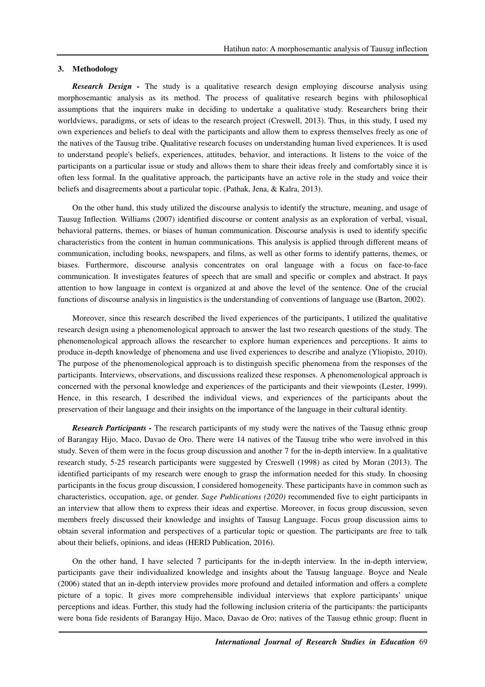#### **3. Methodology**

**Research Design -** The study is a qualitative research design employing discourse analysis using morphosemantic analysis as its method. The process of qualitative research begins with philosophical assumptions that the inquirers make in deciding to undertake a qualitative study. Researchers bring their worldviews, paradigms, or sets of ideas to the research project (Creswell, 2013). Thus, in this study, I used my own experiences and beliefs to deal with the participants and allow them to express themselves freely as one of the natives of the Tausug tribe. Qualitative research focuses on understanding human lived experiences. It is used to understand people's beliefs, experiences, attitudes, behavior, and interactions. It listens to the voice of the participants on a particular issue or study and allows them to share their ideas freely and comfortably since it is often less formal. In the qualitative approach, the participants have an active role in the study and voice their beliefs and disagreements about a particular topic. (Pathak, Jena, & Kalra, 2013).

On the other hand, this study utilized the discourse analysis to identify the structure, meaning, and usage of Tausug Inflection. Williams (2007) identified discourse or content analysis as an exploration of verbal, visual, behavioral patterns, themes, or biases of human communication. Discourse analysis is used to identify specific characteristics from the content in human communications. This analysis is applied through different means of communication, including books, newspapers, and films, as well as other forms to identify patterns, themes, or biases. Furthermore, discourse analysis concentrates on oral language with a focus on face-to-face communication. It investigates features of speech that are small and specific or complex and abstract. It pays attention to how language in context is organized at and above the level of the sentence. One of the crucial functions of discourse analysis in linguistics is the understanding of conventions of language use (Barton, 2002).

Moreover, since this research described the lived experiences of the participants, I utilized the qualitative research design using a phenomenological approach to answer the last two research questions of the study. The phenomenological approach allows the researcher to explore human experiences and perceptions. It aims to produce in-depth knowledge of phenomena and use lived experiences to describe and analyze (Yliopisto, 2010). The purpose of the phenomenological approach is to distinguish specific phenomena from the responses of the participants. Interviews, observations, and discussions realized these responses. A phenomenological approach is concerned with the personal knowledge and experiences of the participants and their viewpoints (Lester, 1999). Hence, in this research, I described the individual views, and experiences of the participants about the preservation of their language and their insights on the importance of the language in their cultural identity.

*Research Participants -* The research participants of my study were the natives of the Tausug ethnic group of Barangay Hijo, Maco, Davao de Oro. There were 14 natives of the Tausug tribe who were involved in this study. Seven of them were in the focus group discussion and another 7 for the in-depth interview. In a qualitative research study, 5-25 research participants were suggested by Creswell (1998) as cited by Moran (2013). The identified participants of my research were enough to grasp the information needed for this study. In choosing participants in the focus group discussion, I considered homogeneity. These participants have in common such as characteristics, occupation, age, or gender. *Sage Publications (2020)* recommended five to eight participants in an interview that allow them to express their ideas and expertise. Moreover, in focus group discussion, seven members freely discussed their knowledge and insights of Tausug Language. Focus group discussion aims to obtain several information and perspectives of a particular topic or question. The participants are free to talk about their beliefs, opinions, and ideas (HERD Publication, 2016).

On the other hand, I have selected 7 participants for the in-depth interview. In the in-depth interview, participants gave their individualized knowledge and insights about the Tausug language. Boyce and Neale (2006) stated that an in-depth interview provides more profound and detailed information and offers a complete picture of a topic. It gives more comprehensible individual interviews that explore participants' unique perceptions and ideas. Further, this study had the following inclusion criteria of the participants: the participants were bona fide residents of Barangay Hijo, Maco, Davao de Oro; natives of the Tausug ethnic group; fluent in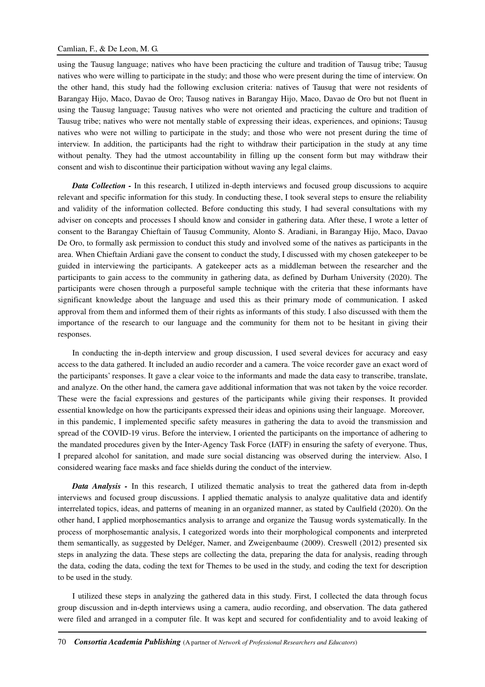using the Tausug language; natives who have been practicing the culture and tradition of Tausug tribe; Tausug natives who were willing to participate in the study; and those who were present during the time of interview. On the other hand, this study had the following exclusion criteria: natives of Tausug that were not residents of Barangay Hijo, Maco, Davao de Oro; Tausog natives in Barangay Hijo, Maco, Davao de Oro but not fluent in using the Tausug language; Tausug natives who were not oriented and practicing the culture and tradition of Tausug tribe; natives who were not mentally stable of expressing their ideas, experiences, and opinions; Tausug natives who were not willing to participate in the study; and those who were not present during the time of interview. In addition, the participants had the right to withdraw their participation in the study at any time without penalty. They had the utmost accountability in filling up the consent form but may withdraw their consent and wish to discontinue their participation without waving any legal claims.

*Data Collection -* In this research, I utilized in-depth interviews and focused group discussions to acquire relevant and specific information for this study. In conducting these, I took several steps to ensure the reliability and validity of the information collected. Before conducting this study, I had several consultations with my adviser on concepts and processes I should know and consider in gathering data. After these, I wrote a letter of consent to the Barangay Chieftain of Tausug Community, Alonto S. Aradiani, in Barangay Hijo, Maco, Davao De Oro, to formally ask permission to conduct this study and involved some of the natives as participants in the area. When Chieftain Ardiani gave the consent to conduct the study, I discussed with my chosen gatekeeper to be guided in interviewing the participants. A gatekeeper acts as a middleman between the researcher and the participants to gain access to the community in gathering data, as defined by Durham University (2020). The participants were chosen through a purposeful sample technique with the criteria that these informants have significant knowledge about the language and used this as their primary mode of communication. I asked approval from them and informed them of their rights as informants of this study. I also discussed with them the importance of the research to our language and the community for them not to be hesitant in giving their responses.

In conducting the in-depth interview and group discussion, I used several devices for accuracy and easy access to the data gathered. It included an audio recorder and a camera. The voice recorder gave an exact word of the participants' responses. It gave a clear voice to the informants and made the data easy to transcribe, translate, and analyze. On the other hand, the camera gave additional information that was not taken by the voice recorder. These were the facial expressions and gestures of the participants while giving their responses. It provided essential knowledge on how the participants expressed their ideas and opinions using their language. Moreover, in this pandemic, I implemented specific safety measures in gathering the data to avoid the transmission and spread of the COVID-19 virus. Before the interview, I oriented the participants on the importance of adhering to the mandated procedures given by the Inter-Agency Task Force (IATF) in ensuring the safety of everyone. Thus, I prepared alcohol for sanitation, and made sure social distancing was observed during the interview. Also, I considered wearing face masks and face shields during the conduct of the interview.

*Data Analysis -* In this research, I utilized thematic analysis to treat the gathered data from in-depth interviews and focused group discussions. I applied thematic analysis to analyze qualitative data and identify interrelated topics, ideas, and patterns of meaning in an organized manner, as stated by Caulfield (2020). On the other hand, I applied morphosemantics analysis to arrange and organize the Tausug words systematically. In the process of morphosemantic analysis, I categorized words into their morphological components and interpreted them semantically, as suggested by Deléger, Namer, and Zweigenbaume (2009). Creswell (2012) presented six steps in analyzing the data. These steps are collecting the data, preparing the data for analysis, reading through the data, coding the data, coding the text for Themes to be used in the study, and coding the text for description to be used in the study.

I utilized these steps in analyzing the gathered data in this study. First, I collected the data through focus group discussion and in-depth interviews using a camera, audio recording, and observation. The data gathered were filed and arranged in a computer file. It was kept and secured for confidentiality and to avoid leaking of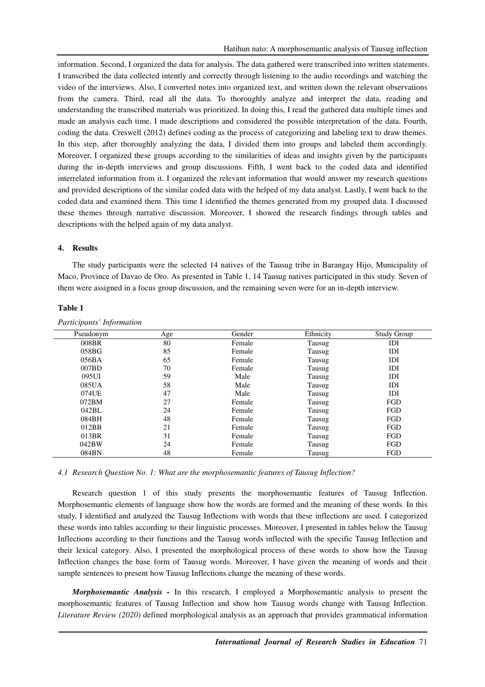information. Second, I organized the data for analysis. The data gathered were transcribed into written statements. I transcribed the data collected intently and correctly through listening to the audio recordings and watching the video of the interviews. Also, I converted notes into organized text, and written down the relevant observations from the camera. Third, read all the data. To thoroughly analyze and interpret the data, reading and understanding the transcribed materials was prioritized. In doing this, I read the gathered data multiple times and made an analysis each time. I made descriptions and considered the possible interpretation of the data. Fourth, coding the data. Creswell (2012) defines coding as the process of categorizing and labeling text to draw themes. In this step, after thoroughly analyzing the data, I divided them into groups and labeled them accordingly. Moreover, I organized these groups according to the similarities of ideas and insights given by the participants during the in-depth interviews and group discussions. Fifth, I went back to the coded data and identified interrelated information from it. I organized the relevant information that would answer my research questions and provided descriptions of the similar coded data with the helped of my data analyst. Lastly, I went back to the coded data and examined them. This time I identified the themes generated from my grouped data. I discussed these themes through narrative discussion. Moreover, I showed the research findings through tables and descriptions with the helped again of my data analyst.

### **4. Results**

The study participants were the selected 14 natives of the Tausug tribe in Barangay Hijo, Municipality of Maco, Province of Davao de Oro. As presented in Table 1, 14 Tausug natives participated in this study. Seven of them were assigned in a focus group discussion, and the remaining seven were for an in-depth interview.

| Pseudonym | Age | Gender | Ethnicity | <b>Study Group</b> |
|-----------|-----|--------|-----------|--------------------|
| 008BR     | 80  | Female | Tausug    | IDI                |
| 058BG     | 85  | Female | Tausug    | IDI                |
| 056BA     | 65  | Female | Tausug    | IDI                |
| 007BD     | 70  | Female | Tausug    | IDI                |
| 095UI     | 59  | Male   | Tausug    | IDI                |
| 085UA     | 58  | Male   | Tausug    | IDI                |
| 074UE     | 47  | Male   | Tausug    | IDI                |
| 072BM     | 27  | Female | Tausug    | FGD                |
| 042BL     | 24  | Female | Tausug    | FGD                |
| 084BH     | 48  | Female | Tausug    | FGD                |
| 012BB     | 21  | Female | Tausug    | FGD                |
| 013BR     | 31  | Female | Tausug    | FGD                |
| 042BW     | 24  | Female | Tausug    | FGD                |
| 084BN     | 48  | Female | Tausug    | FGD                |
|           |     |        |           |                    |

#### **Table 1**

*Participants' Information* 

*4.1 Research Question No. 1: What are the morphosemantic features of Tausug Inflection?* 

Research question 1 of this study presents the morphosemantic features of Tausug Inflection. Morphosemantic elements of language show how the words are formed and the meaning of these words. In this study, I identified and analyzed the Tausug Inflections with words that these inflections are used. I categorized these words into tables according to their linguistic processes. Moreover, I presented in tables below the Tausug Inflections according to their functions and the Tausug words inflected with the specific Tausug Inflection and their lexical category. Also, I presented the morphological process of these words to show how the Tausug Inflection changes the base form of Tausug words. Moreover, I have given the meaning of words and their sample sentences to present how Tausug Inflections change the meaning of these words.

*Morphosemantic Analysis -* In this research, I employed a Morphosemantic analysis to present the morphosemantic features of Tausug Inflection and show how Tausug words change with Tausug Inflection. *Literature Review (2020)* defined morphological analysis as an approach that provides grammatical information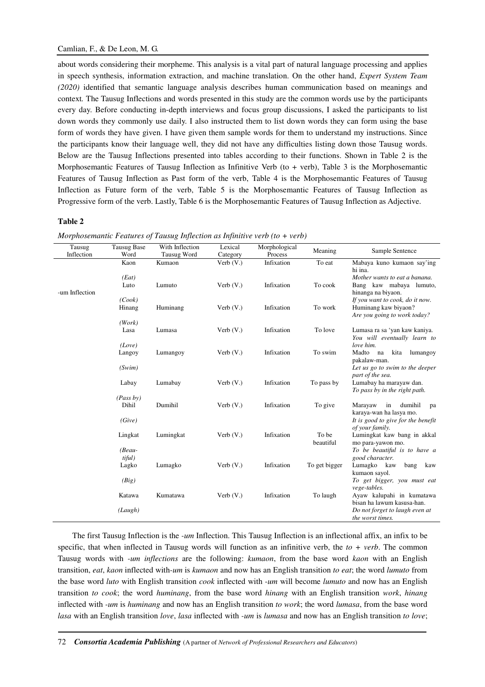about words considering their morpheme. This analysis is a vital part of natural language processing and applies in speech synthesis, information extraction, and machine translation. On the other hand, *Expert System Team (2020)* identified that semantic language analysis describes human communication based on meanings and context*.* The Tausug Inflections and words presented in this study are the common words use by the participants every day. Before conducting in-depth interviews and focus group discussions, I asked the participants to list down words they commonly use daily. I also instructed them to list down words they can form using the base form of words they have given. I have given them sample words for them to understand my instructions. Since the participants know their language well, they did not have any difficulties listing down those Tausug words. Below are the Tausug Inflections presented into tables according to their functions. Shown in Table 2 is the Morphosemantic Features of Tausug Inflection as Infinitive Verb (to + verb), Table 3 is the Morphosemantic Features of Tausug Inflection as Past form of the verb, Table 4 is the Morphosemantic Features of Tausug Inflection as Future form of the verb, Table 5 is the Morphosemantic Features of Tausug Inflection as Progressive form of the verb. Lastly, Table 6 is the Morphosemantic Features of Tausug Inflection as Adjective.

## **Table 2**

| Tausug<br>Inflection | <b>Tausug Base</b><br>Word | With Inflection<br>Tausug Word | Lexical<br>Category | Morphological<br>Process | Meaning            | Sample Sentence                                                                  |
|----------------------|----------------------------|--------------------------------|---------------------|--------------------------|--------------------|----------------------------------------------------------------------------------|
|                      | Kaon                       | Kumaon                         | Verb $(V. )$        | Infixation               | To eat             | Mabaya kuno kumaon say'ing                                                       |
|                      | (Eat)                      |                                |                     |                          |                    | hi ina.<br>Mother wants to eat a banana.                                         |
| -um Inflection       | Luto<br>(Cook)             | Lumuto                         | Verb $(V.$ )        | Infixation               | To cook            | Bang kaw mabaya lumuto,<br>hinanga na biyaon.<br>If you want to cook, do it now. |
|                      | Hinang                     | Huminang                       | Verb $(V.$ )        | Infixation               | To work            | Huminang kaw biyaon?<br>Are you going to work today?                             |
|                      | (Work)                     |                                |                     |                          |                    |                                                                                  |
|                      | Lasa                       | Lumasa                         | Verb $(V. )$        | Infixation               | To love            | Lumasa ra sa 'yan kaw kaniya.<br>You will eventually learn to                    |
|                      | (Love)                     |                                |                     |                          |                    | love him.                                                                        |
|                      | Langoy                     | Lumangoy                       | Verb $(V. )$        | Infixation               | To swim            | Madto<br>na<br>kita<br>lumangoy<br>pakalaw-man.                                  |
|                      | (Swim)                     |                                |                     |                          |                    | Let us go to swim to the deeper<br>part of the sea.                              |
|                      | Labay                      | Lumabay                        | Verb $(V. )$        | Infixation               | To pass by         | Lumabay ha marayaw dan.<br>To pass by in the right path.                         |
|                      | (Pass by)                  |                                |                     |                          |                    |                                                                                  |
|                      | Dihil                      | Dumihil                        | Verb $(V.$ )        | Infixation               | To give            | dumihil<br>Marayaw<br>in<br>pa<br>karaya-wan ha lasya mo.                        |
|                      | (Give)                     |                                |                     |                          |                    | It is good to give for the benefit<br>of your family.                            |
|                      | Lingkat                    | Lumingkat                      | Verb $(V.$ )        | Infixation               | To be<br>beautiful | Lumingkat kaw bang in akkal<br>mo para-yawon mo.                                 |
|                      | $(Beau -$<br>tiful)        |                                |                     |                          |                    | To be beautiful is to have a<br>good character.                                  |
|                      | Lagko                      | Lumagko                        | Verb $(V.$ )        | Infixation               | To get bigger      | Lumagko kaw<br>bang<br>kaw<br>kumaon sayol.                                      |
|                      | (Big)                      |                                |                     |                          |                    | To get bigger, you must eat<br>vege-tables.                                      |
|                      | Katawa                     | Kumatawa                       | Verb $(V. )$        | Infixation               | To laugh           | Ayaw kalupahi in kumatawa                                                        |
|                      | (Laugh)                    |                                |                     |                          |                    | bisan ha lawum kasusa-han.<br>Do not forget to laugh even at<br>the worst times. |

*Morphosemantic Features of Tausug Inflection as Infinitive verb (to + verb)* 

The first Tausug Inflection is the *-um* Inflection. This Tausug Inflection is an inflectional affix, an infix to be specific, that when inflected in Tausug words will function as an infinitive verb, the *to + verb*. The common Tausug words with *-um inflections* are the following: *kumaon*, from the base word *kaon* with an English transition, *eat*, *kaon* inflected with*-um* is *kumaon* and now has an English transition *to eat*; the word *lumuto* from the base word *luto* with English transition *cook* inflected with *-um* will become *lumuto* and now has an English transition *to cook*; the word *huminang*, from the base word *hinang* with an English transition *work*, *hinang* inflected with *-um* is *huminang* and now has an English transition *to work*; the word *lumasa*, from the base word *lasa* with an English transition *love*, *lasa* inflected with *-um* is *lumasa* and now has an English transition *to love*;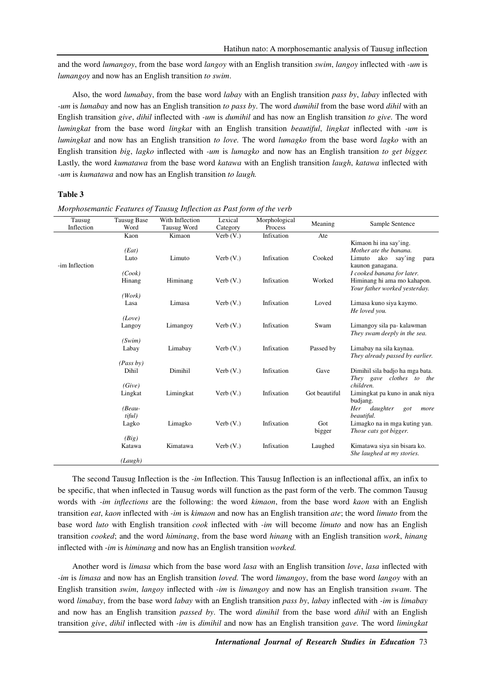and the word *lumangoy*, from the base word *langoy* with an English transition *swim*, *langoy* inflected with *-um* is *lumangoy* and now has an English transition *to swim*.

Also, the word *lumabay*, from the base word *labay* with an English transition *pass by*, *labay* inflected with *-um* is *lumabay* and now has an English transition *to pass by*. The word *dumihil* from the base word *dihil* with an English transition *give*, *dihil* inflected with *-um* is *dumihil* and has now an English transition *to give.* The word *lumingkat* from the base word *lingkat* with an English transition *beautiful*, *lingkat* inflected with *-um* is *lumingkat* and now has an English transition *to love.* The word *lumagko* from the base word *lagko* with an English transition *big*, *lagko* inflected with *-um* is *lumagko* and now has an English transition *to get bigger.*  Lastly, the word *kumatawa* from the base word *katawa* with an English transition *laugh*, *katawa* inflected with *-um* is *kumatawa* and now has an English transition *to laugh.*

### **Table 3**

| Tausug         | <b>Tausug Base</b>           | With Inflection | Lexical      | Morphological | Meaning       | Sample Sentence                                                                                          |
|----------------|------------------------------|-----------------|--------------|---------------|---------------|----------------------------------------------------------------------------------------------------------|
| Inflection     | Word                         | Tausug Word     | Category     | Process       |               |                                                                                                          |
|                | Kaon                         | Kimaon          | Verb $(V. )$ | Infixation    | Ate           |                                                                                                          |
| -im Inflection | (Eat)<br>Luto                | Limuto          | Verb $(V.)$  | Infixation    | Cooked        | Kimaon hi ina say'ing.<br>Mother ate the banana.<br>Limuto<br>ako<br>say'ing<br>para<br>kaunon ganagana. |
|                | (Cook)<br>Hinang             | Himinang        | Verb $(V.)$  | Infixation    | Worked        | I cooked banana for later.<br>Himinang hi ama mo kahapon.<br>Your father worked yesterday.               |
|                | (Work)<br>Lasa               | Limasa          | Verb $(V.)$  | Infixation    | Loved         | Limasa kuno siya kaymo.<br>He loved you.                                                                 |
|                | (Love)<br>Langoy             | Limangoy        | Verb $(V.)$  | Infixation    | Swam          | Limangoy sila pa- kalawman<br>They swam deeply in the sea.                                               |
|                | (Swim)<br>Labay              | Limabay         | Verb $(V.)$  | Infixation    | Passed by     | Limabay na sila kaynaa.<br>They already passed by earlier.                                               |
|                | (Pass by)<br>Dihil           | Dimihil         | Verb $(V.)$  | Infixation    | Gave          | Dimihil sila badjo ha mga bata.<br>They gave clothes to<br>the                                           |
|                | (Give)<br>Lingkat            | Limingkat       | Verb $(V.$ ) | Infixation    | Got beautiful | children.<br>Limingkat pa kuno in anak niya<br>budjang.                                                  |
|                | $(Beau -$<br>tiful)<br>Lagko | Limagko         | Verb $(V.)$  | Infixation    | Got           | daughter<br>Her<br>got<br>more<br>beautiful.<br>Limagko na in mga kuting yan.                            |
|                | (Big)                        |                 |              |               | bigger        | Those cats got bigger.                                                                                   |
|                | Katawa                       | Kimatawa        | Verb $(V.$ ) | Infixation    | Laughed       | Kimatawa siya sin bisara ko.<br>She laughed at my stories.                                               |
|                | (Laugh)                      |                 |              |               |               |                                                                                                          |

*Morphosemantic Features of Tausug Inflection as Past form of the verb* 

The second Tausug Inflection is the *-im* Inflection. This Tausug Inflection is an inflectional affix, an infix to be specific, that when inflected in Tausug words will function as the past form of the verb. The common Tausug words with *-im inflections* are the following: the word *kimaon*, from the base word *kaon* with an English transition *eat*, *kaon* inflected with *-im* is *kimaon* and now has an English transition *ate*; the word *limuto* from the base word *luto* with English transition *cook* inflected with *-im* will become *limuto* and now has an English transition *cooked*; and the word *himinang*, from the base word *hinang* with an English transition *work*, *hinang* inflected with *-im* is *himinang* and now has an English transition *worked.* 

Another word is *limasa* which from the base word *lasa* with an English transition *love*, *lasa* inflected with *-im* is *limasa* and now has an English transition *loved.* The word *limangoy*, from the base word *langoy* with an English transition *swim*, *langoy* inflected with *-im* is *limangoy* and now has an English transition *swam*. The word *limabay*, from the base word *labay* with an English transition *pass by*, *labay* inflected with *-im* is *limabay* and now has an English transition *passed by*. The word *dimihil* from the base word *dihil* with an English transition *give*, *dihil* inflected with *-im* is *dimihil* and now has an English transition *gave.* The word *limingkat*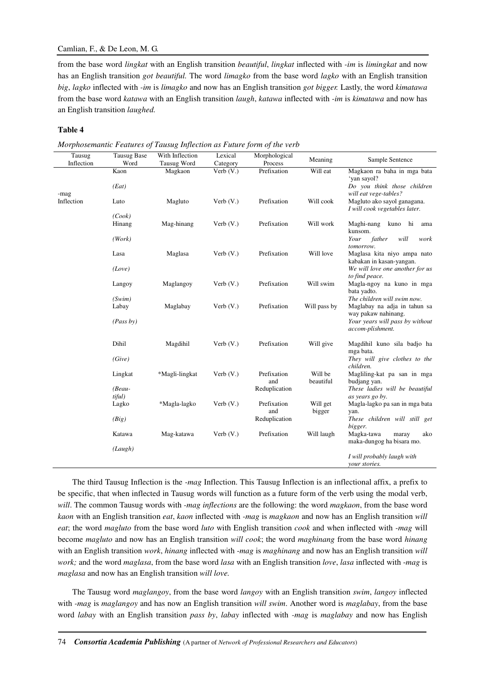## Camlian, F., & De Leon, M. G.

from the base word *lingkat* with an English transition *beautiful*, *lingkat* inflected with *-im* is *limingkat* and now has an English transition *got beautiful.* The word *limagko* from the base word *lagko* with an English transition *big*, *lagko* inflected with *-im* is *limagko* and now has an English transition *got bigger.* Lastly, the word *kimatawa*  from the base word *katawa* with an English transition *laugh*, *katawa* inflected with *-im* is *kimatawa* and now has an English transition *laughed.*

### **Table 4**

*Morphosemantic Features of Tausug Inflection as Future form of the verb* 

| Tausug<br>Inflection | <b>Tausug Base</b><br>Word | With Inflection<br><b>Tausug Word</b> | Lexical<br>Category | Morphological<br>Process | Meaning              | Sample Sentence                                                                       |
|----------------------|----------------------------|---------------------------------------|---------------------|--------------------------|----------------------|---------------------------------------------------------------------------------------|
|                      | Kaon                       | Magkaon                               | Verb $(V.)$         | Prefixation              | Will eat             | Magkaon ra baha in mga bata<br>'yan sayol?                                            |
|                      | (Ext)                      |                                       |                     |                          |                      | Do you think those children                                                           |
| -mag<br>Inflection   | Luto                       | Magluto                               | Verb $(V)$ .        | Prefixation              | Will cook            | will eat vege-tables?<br>Magluto ako sayol ganagana.<br>I will cook vegetables later. |
|                      | (Cook)                     |                                       |                     |                          |                      |                                                                                       |
|                      | Hinang                     | Mag-hinang                            | Verb $(V)$ .        | Prefixation              | Will work            | Maghi-nang<br>kuno hi<br>ama<br>kunsom.                                               |
|                      | (Work)                     |                                       |                     |                          |                      | will<br>father<br>Your<br>work<br>tomorrow.                                           |
|                      | Lasa                       | Maglasa                               | Verb $(V.)$         | Prefixation              | Will love            | Maglasa kita niyo ampa nato<br>kabakan in kasan-yangan.                               |
|                      | (Love)                     |                                       |                     |                          |                      | We will love one another for us<br>to find peace.                                     |
|                      | Langoy                     | Maglangoy                             | Verb $(V.)$         | Prefixation              | Will swim            | Magla-ngoy na kuno in mga<br>bata yadto.                                              |
|                      | (Swim)                     |                                       |                     |                          |                      | The children will swim now.                                                           |
|                      | Labay                      | Maglabay                              | Verb $(V)$ .        | Prefixation              | Will pass by         | Maglabay na adja in tahun sa                                                          |
|                      | (Pass by)                  |                                       |                     |                          |                      | way pakaw nahinang.<br>Your years will pass by without<br>accom-plishment.            |
|                      | Dihil                      | Magdihil                              | Verb $(V.)$         | Prefixation              | Will give            | Magdihil kuno sila badjo ha<br>mga bata.                                              |
|                      | (Give)                     |                                       |                     |                          |                      | They will give clothes to the<br>children.                                            |
|                      | Lingkat                    | *Magli-lingkat                        | Verb $(V.)$         | Prefixation<br>and       | Will be<br>beautiful | Magliling-kat pa san in mga<br>budjang yan.                                           |
|                      | $(Beau -$                  |                                       |                     | Reduplication            |                      | These ladies will be beautiful                                                        |
|                      | tiful)<br>Lagko            | *Magla-lagko                          | Verb $(V.)$         | Prefixation              | Will get             | as years go by.<br>Magla-lagko pa san in mga bata                                     |
|                      |                            |                                       |                     | and                      | bigger               | yan.                                                                                  |
|                      | (Big)                      |                                       |                     | Reduplication            |                      | These children will still get<br>bigger.                                              |
|                      | Katawa                     | Mag-katawa                            | Verb $(V)$ .        | Prefixation              | Will laugh           | Magka-tawa<br>ako<br>maray<br>maka-dungog ha bisara mo.                               |
|                      | (Laugh)                    |                                       |                     |                          |                      |                                                                                       |
|                      |                            |                                       |                     |                          |                      | I will probably laugh with<br>your stories.                                           |

The third Tausug Inflection is the *-mag* Inflection. This Tausug Inflection is an inflectional affix, a prefix to be specific, that when inflected in Tausug words will function as a future form of the verb using the modal verb, *will*. The common Tausug words with *-mag inflections* are the following: the word *magkaon*, from the base word *kaon* with an English transition *eat*, *kaon* inflected with *-mag* is *magkaon* and now has an English transition *will eat*; the word *magluto* from the base word *luto* with English transition *cook* and when inflected with *-mag* will become *magluto* and now has an English transition *will cook*; the word *maghinang* from the base word *hinang* with an English transition *work*, *hinang* inflected with -*mag* is *maghinang* and now has an English transition *will work;* and the word *maglasa*, from the base word *lasa* with an English transition *love*, *lasa* inflected with -*mag* is *maglasa* and now has an English transition *will love.*

The Tausug word *maglangoy*, from the base word *langoy* with an English transition *swim*, *langoy* inflected with *-mag* is *maglangoy* and has now an English transition *will swim*. Another word is *maglabay*, from the base word *labay* with an English transition *pass by*, *labay* inflected with *-mag* is *maglabay* and now has English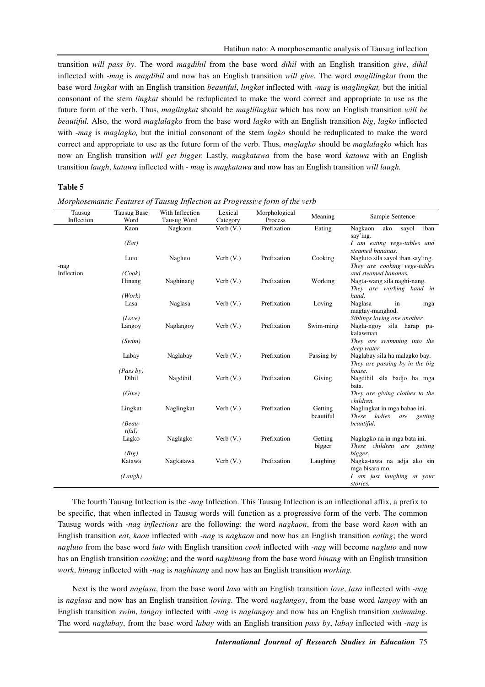transition *will pass by*. The word *magdihil* from the base word *dihil* with an English transition *give*, *dihil* inflected with -*mag* is *magdihil* and now has an English transition *will give.* The word *maglilingkat* from the base word *lingkat* with an English transition *beautiful*, *lingkat* inflected with *-mag* is *maglingkat,* but the initial consonant of the stem *lingkat* should be reduplicated to make the word correct and appropriate to use as the future form of the verb. Thus, *maglingkat* should be *maglilingkat* which has now an English transition *will be beautiful.* Also, the word *maglalagko* from the base word *lagko* with an English transition *big*, *lagko* inflected with -*mag* is *maglagko,* but the initial consonant of the stem *lagko* should be reduplicated to make the word correct and appropriate to use as the future form of the verb. Thus, *maglagko* should be *maglalagko* which has now an English transition *will get bigger.* Lastly, *magkatawa* from the base word *katawa* with an English transition *laugh*, *katawa* inflected with - *mag* is *magkatawa* and now has an English transition *will laugh.*

#### **Table 5**

| Tausug     | Tausug Base | With Inflection | Lexical      | Morphological | Meaning    | Sample Sentence                                                  |
|------------|-------------|-----------------|--------------|---------------|------------|------------------------------------------------------------------|
| Inflection | Word        | Tausug Word     | Category     | Process       |            |                                                                  |
|            | Kaon        | Nagkaon         | Verb $(V.)$  | Prefixation   | Eating     | iban<br>Nagkaon<br>ako<br>sayol                                  |
|            | (Eat)       |                 |              |               |            | say'ing.<br>I am eating vege-tables and<br>steamed bananas.      |
| -nag       | Luto        | Nagluto         | Verb $(V.)$  | Prefixation   | Cooking    | Nagluto sila sayol iban say'ing.<br>They are cooking vege-tables |
| Inflection | (Cook)      |                 |              |               |            | and steamed bananas.                                             |
|            | Hinang      | Naghinang       | Verb $(V.)$  | Prefixation   | Working    | Nagta-wang sila naghi-nang.<br>They are working hand in          |
|            | (Work)      |                 |              |               |            | hand.                                                            |
|            | Lasa        | Naglasa         | Verb $(V.)$  | Prefixation   | Loving     | Naglasa<br>in<br>mga<br>magtay-manghod.                          |
|            | (Love)      |                 |              |               |            | Siblings loving one another.                                     |
|            | Langoy      | Naglangoy       | Verb $(V.)$  | Prefixation   | Swim-ming  | Nagla-ngoy sila harap pa-<br>kalawman                            |
|            | (Swim)      |                 |              |               |            | They are swimming into the                                       |
|            |             |                 |              |               |            | deep water.                                                      |
|            | Labay       | Naglabay        | Verb $(V.)$  | Prefixation   | Passing by | Naglabay sila ha malagko bay.<br>They are passing by in the big  |
|            | (Pass by)   |                 |              |               |            | house.                                                           |
|            | Dihil       | Nagdihil        | Verb $(V.$ ) | Prefixation   | Giving     | Nagdihil sila badjo ha mga<br>bata.                              |
|            | (Give)      |                 |              |               |            | They are giving clothes to the<br>children.                      |
|            | Lingkat     | Naglingkat      | Verb $(V.$ ) | Prefixation   | Getting    | Naglingkat in mga babae ini.                                     |
|            | $(Beau -$   |                 |              |               | beautiful  | These ladies<br>are<br>getting<br>beautiful.                     |
|            | tiful)      |                 |              |               |            |                                                                  |
|            | Lagko       | Naglagko        | Verb $(V.$ ) | Prefixation   | Getting    | Naglagko na in mga bata ini.<br>These children are getting       |
|            | (Big)       |                 |              |               | bigger     | bigger.                                                          |
|            | Katawa      | Nagkatawa       | Verb $(V.$ ) | Prefixation   | Laughing   | Nagka-tawa na adja ako sin                                       |
|            |             |                 |              |               |            | mga bisara mo.                                                   |
|            | (Laugh)     |                 |              |               |            | I am just laughing at your                                       |
|            |             |                 |              |               |            | stories.                                                         |

*Morphosemantic Features of Tausug Inflection as Progressive form of the verb* 

The fourth Tausug Inflection is the *-nag* Inflection. This Tausug Inflection is an inflectional affix, a prefix to be specific, that when inflected in Tausug words will function as a progressive form of the verb. The common Tausug words with *-nag inflections* are the following: the word *nagkaon*, from the base word *kaon* with an English transition *eat*, *kaon* inflected with *-nag* is *nagkaon* and now has an English transition *eating*; the word *nagluto* from the base word *luto* with English transition *cook* inflected with *-nag* will become *nagluto* and now has an English transition *cooking*; and the word *naghinang* from the base word *hinang* with an English transition *work*, *hinang* inflected with -*nag* is *naghinang* and now has an English transition *working.*

Next is the word *naglasa*, from the base word *lasa* with an English transition *love*, *lasa* inflected with -*nag*  is *naglasa* and now has an English transition *loving.* The word *naglangoy*, from the base word *langoy* with an English transition *swim*, *langoy* inflected with *-nag* is *naglangoy* and now has an English transition *swimming*. The word *naglabay*, from the base word *labay* with an English transition *pass by*, *labay* inflected with *-nag* is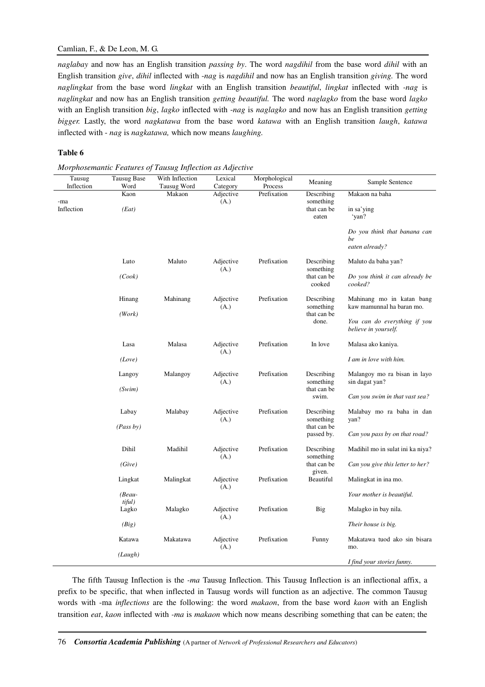## Camlian, F., & De Leon, M. G.

*naglabay* and now has an English transition *passing by*. The word *nagdihil* from the base word *dihil* with an English transition *give*, *dihil* inflected with -*nag* is *nagdihil* and now has an English transition *giving.* The word *naglingkat* from the base word *lingkat* with an English transition *beautiful*, *lingkat* inflected with *-nag* is *naglingkat* and now has an English transition *getting beautiful.* The word *naglagko* from the base word *lagko*  with an English transition *big*, *lagko* inflected with -*nag* is *naglagko* and now has an English transition *getting bigger.* Lastly, the word *nagkatawa* from the base word *katawa* with an English transition *laugh*, *katawa* inflected with - *nag* is *nagkatawa,* which now means *laughing.*

### **Table 6**

| Tausug<br>Inflection | <b>Tausug Base</b><br>Word | With Inflection<br>Tausug Word | Lexical<br>Category | Morphological<br>Process | Meaning                           | Sample Sentence                                        |
|----------------------|----------------------------|--------------------------------|---------------------|--------------------------|-----------------------------------|--------------------------------------------------------|
|                      | Kaon                       | Makaon                         | Adjective           | Prefixation              | Describing                        | Makaon na baha                                         |
| -ma<br>Inflection    | (Eat)                      |                                | (A.)                |                          | something<br>that can be<br>eaten | in sa'ying<br>ʻyan?                                    |
|                      |                            |                                |                     |                          |                                   | Do you think that banana can<br>be<br>eaten already?   |
|                      | Luto                       | Maluto                         | Adjective<br>(A.)   | Prefixation              | Describing<br>something           | Maluto da baha yan?                                    |
|                      | (Cook)                     |                                |                     |                          | that can be<br>cooked             | Do you think it can already be<br>cooked?              |
|                      | Hinang                     | Mahinang                       | Adjective<br>(A.)   | Prefixation              | Describing<br>something           | Mahinang mo in katan bang<br>kaw mamunnal ha baran mo. |
|                      | (Work)                     |                                |                     |                          | that can be<br>done.              | You can do everything if you<br>believe in yourself.   |
|                      | Lasa                       | Malasa                         | Adjective<br>(A.)   | Prefixation              | In love                           | Malasa ako kaniya.                                     |
|                      | (Love)                     |                                |                     |                          |                                   | I am in love with him.                                 |
|                      | Langoy                     | Malangoy                       | Adjective<br>(A.)   | Prefixation              | Describing<br>something           | Malangoy mo ra bisan in layo<br>sin dagat yan?         |
|                      | (Swim)                     |                                |                     |                          | that can be<br>swim.              | Can you swim in that vast sea?                         |
|                      | Labay                      | Malabay                        | Adjective<br>(A.)   | Prefixation              | Describing<br>something           | Malabay mo ra baha in dan<br>yan?                      |
|                      | (Pass by)                  |                                |                     |                          | that can be<br>passed by.         | Can you pass by on that road?                          |
|                      | Dihil                      | Madihil                        | Adjective<br>(A.)   | Prefixation              | Describing<br>something           | Madihil mo in sulat ini ka niya?                       |
|                      | (Give)                     |                                |                     |                          | that can be<br>given.             | Can you give this letter to her?                       |
|                      | Lingkat                    | Malingkat                      | Adjective<br>(A.)   | Prefixation              | Beautiful                         | Malingkat in ina mo.                                   |
|                      | $(Beau -$                  |                                |                     |                          |                                   | Your mother is beautiful.                              |
|                      | $t$ iful $)$<br>Lagko      | Malagko                        | Adjective<br>(A.)   | Prefixation              | Big                               | Malagko in bay nila.                                   |
|                      | (Big)                      |                                |                     |                          |                                   | Their house is big.                                    |
|                      | Katawa                     | Makatawa                       | Adjective<br>(A.)   | Prefixation              | Funny                             | Makatawa tuod ako sin bisara<br>mo.                    |
|                      | (Laugh)                    |                                |                     |                          |                                   | I find your stories funny.                             |

*Morphosemantic Features of Tausug Inflection as Adjective* 

The fifth Tausug Inflection is the *-ma* Tausug Inflection. This Tausug Inflection is an inflectional affix, a prefix to be specific, that when inflected in Tausug words will function as an adjective. The common Tausug words with -ma *inflections* are the following: the word *makaon*, from the base word *kaon* with an English transition *eat*, *kaon* inflected with *-ma* is *makaon* which now means describing something that can be eaten; the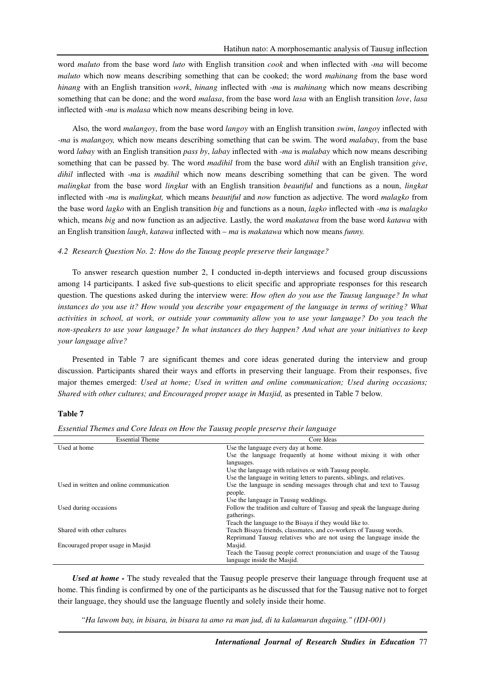word *maluto* from the base word *luto* with English transition *cook* and when inflected with *-ma* will become *maluto* which now means describing something that can be cooked; the word *mahinang* from the base word *hinang* with an English transition *work*, *hinang* inflected with -*ma* is *mahinang* which now means describing something that can be done; and the word *malasa*, from the base word *lasa* with an English transition *love*, *lasa* inflected with -*ma* is *malasa* which now means describing being in love*.*

Also*,* the word *malangoy*, from the base word *langoy* with an English transition *swim*, *langoy* inflected with *-ma* is *malangoy,* which now means describing something that can be swim. The word *malabay*, from the base word *labay* with an English transition *pass by*, *labay* inflected with *-ma* is *malabay* which now means describing something that can be passed by. The word *madihil* from the base word *dihil* with an English transition *give*, *dihil* inflected with -*ma* is *madihil* which now means describing something that can be given. The word *malingkat* from the base word *lingkat* with an English transition *beautiful* and functions as a noun, *lingkat* inflected with *-ma* is *malingkat,* which means *beautiful* and *now* function as adjective*.* The word *malagko* from the base word *lagko* with an English transition *big* and functions as a noun, *lagko* inflected with -*ma* is *malagko*  which, means *big* and now function as an adjective*.* Lastly, the word *makatawa* from the base word *katawa* with an English transition *laugh*, *katawa* inflected with – *ma* is *makatawa* which now means *funny.*

#### *4.2 Research Question No. 2: How do the Tausug people preserve their language?*

To answer research question number 2, I conducted in-depth interviews and focused group discussions among 14 participants. I asked five sub-questions to elicit specific and appropriate responses for this research question. The questions asked during the interview were: *How often do you use the Tausug language? In what instances do you use it? How would you describe your engagement of the language in terms of writing? What activities in school, at work, or outside your community allow you to use your language? Do you teach the non-speakers to use your language? In what instances do they happen? And what are your initiatives to keep your language alive?*

Presented in Table 7 are significant themes and core ideas generated during the interview and group discussion. Participants shared their ways and efforts in preserving their language. From their responses, five major themes emerged: *Used at home; Used in written and online communication; Used during occasions; Shared with other cultures; and Encouraged proper usage in Masjid,* as presented in Table 7 below.

#### **Table 7**

| <b>Essential Theme</b>                   | Core Ideas                                                               |
|------------------------------------------|--------------------------------------------------------------------------|
| Used at home                             | Use the language every day at home.                                      |
|                                          | Use the language frequently at home without mixing it with other         |
|                                          | languages.                                                               |
|                                          | Use the language with relatives or with Tausug people.                   |
|                                          | Use the language in writing letters to parents, siblings, and relatives. |
| Used in written and online communication | Use the language in sending messages through chat and text to Tausug     |
|                                          | people.                                                                  |
|                                          | Use the language in Tausug weddings.                                     |
| Used during occasions                    | Follow the tradition and culture of Tausug and speak the language during |
|                                          | gatherings.                                                              |
|                                          | Teach the language to the Bisaya if they would like to.                  |
| Shared with other cultures               | Teach Bisaya friends, classmates, and co-workers of Tausug words.        |
|                                          | Reprimand Tausug relatives who are not using the language inside the     |
| Encouraged proper usage in Masjid        | Masjid.                                                                  |
|                                          | Teach the Tausug people correct pronunciation and usage of the Tausug    |
|                                          | language inside the Masjid.                                              |

*Essential Themes and Core Ideas on How the Tausug people preserve their language* 

*Used at home -* The study revealed that the Tausug people preserve their language through frequent use at home. This finding is confirmed by one of the participants as he discussed that for the Tausug native not to forget their language, they should use the language fluently and solely inside their home.

*"Ha lawom bay, in bisara, in bisara ta amo ra man jud, di ta kalamuran dugaing." (IDI-001)*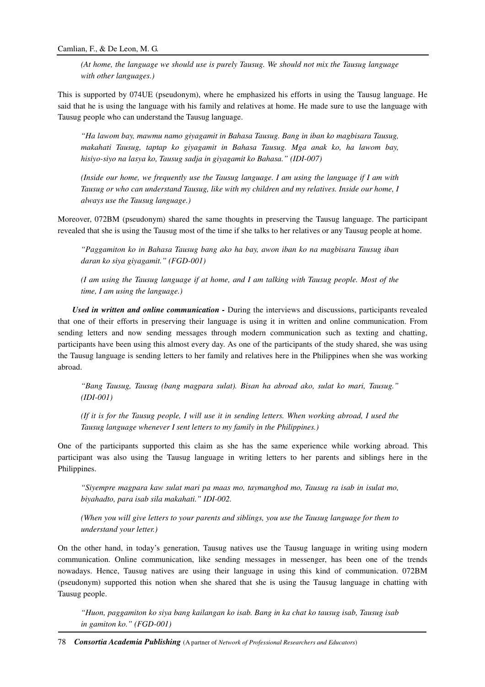*(At home, the language we should use is purely Tausug. We should not mix the Tausug language with other languages.)* 

This is supported by 074UE (pseudonym), where he emphasized his efforts in using the Tausug language. He said that he is using the language with his family and relatives at home. He made sure to use the language with Tausug people who can understand the Tausug language.

*"Ha lawom bay, mawmu namo giyagamit in Bahasa Tausug. Bang in iban ko magbisara Tausug, makahati Tausug, taptap ko giyagamit in Bahasa Tausug. Mga anak ko, ha lawom bay, hisiyo-siyo na lasya ko, Tausug sadja in giyagamit ko Bahasa." (IDI-007)* 

*(Inside our home, we frequently use the Tausug language. I am using the language if I am with Tausug or who can understand Tausug, like with my children and my relatives. Inside our home, I always use the Tausug language.)* 

Moreover, 072BM (pseudonym) shared the same thoughts in preserving the Tausug language. The participant revealed that she is using the Tausug most of the time if she talks to her relatives or any Tausug people at home.

*"Paggamiton ko in Bahasa Tausug bang ako ha bay, awon iban ko na magbisara Tausug iban daran ko siya giyagamit." (FGD-001)* 

*(I am using the Tausug language if at home, and I am talking with Tausug people. Most of the time, I am using the language.)* 

*Used in written and online communication -* During the interviews and discussions, participants revealed that one of their efforts in preserving their language is using it in written and online communication. From sending letters and now sending messages through modern communication such as texting and chatting, participants have been using this almost every day. As one of the participants of the study shared, she was using the Tausug language is sending letters to her family and relatives here in the Philippines when she was working abroad.

*"Bang Tausug, Tausug (bang magpara sulat). Bisan ha abroad ako, sulat ko mari, Tausug." (IDI-001)* 

*(If it is for the Tausug people, I will use it in sending letters. When working abroad, I used the Tausug language whenever I sent letters to my family in the Philippines.)* 

One of the participants supported this claim as she has the same experience while working abroad. This participant was also using the Tausug language in writing letters to her parents and siblings here in the Philippines.

*"Siyempre magpara kaw sulat mari pa maas mo, taymanghod mo, Tausug ra isab in isulat mo, biyahadto, para isab sila makahati." IDI-002.* 

*(When you will give letters to your parents and siblings, you use the Tausug language for them to understand your letter.)* 

On the other hand, in today's generation, Tausug natives use the Tausug language in writing using modern communication. Online communication, like sending messages in messenger, has been one of the trends nowadays. Hence, Tausug natives are using their language in using this kind of communication. 072BM (pseudonym) supported this notion when she shared that she is using the Tausug language in chatting with Tausug people.

*"Huon, paggamiton ko siya bang kailangan ko isab. Bang in ka chat ko tausug isab, Tausug isab in gamiton ko." (FGD-001)*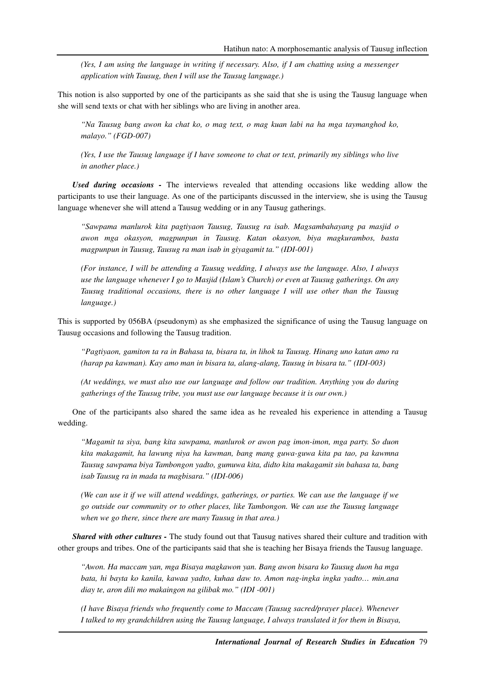*(Yes, I am using the language in writing if necessary. Also, if I am chatting using a messenger application with Tausug, then I will use the Tausug language.)* 

This notion is also supported by one of the participants as she said that she is using the Tausug language when she will send texts or chat with her siblings who are living in another area.

*"Na Tausug bang awon ka chat ko, o mag text, o mag kuan labi na ha mga taymanghod ko, malayo." (FGD-007)* 

*(Yes, I use the Tausug language if I have someone to chat or text, primarily my siblings who live in another place.)* 

*Used during occasions -* The interviews revealed that attending occasions like wedding allow the participants to use their language. As one of the participants discussed in the interview, she is using the Tausug language whenever she will attend a Tausug wedding or in any Tausug gatherings.

*"Sawpama manlurok kita pagtiyaon Tausug, Tausug ra isab. Magsambahayang pa masjid o awon mga okasyon, magpunpun in Tausug. Katan okasyon, biya magkurambos, basta magpunpun in Tausug, Tausug ra man isab in giyagamit ta." (IDI-001)* 

*(For instance, I will be attending a Tausug wedding, I always use the language. Also, I always use the language whenever I go to Masjid (Islam's Church) or even at Tausug gatherings. On any Tausug traditional occasions, there is no other language I will use other than the Tausug language.)* 

This is supported by 056BA (pseudonym) as she emphasized the significance of using the Tausug language on Tausug occasions and following the Tausug tradition.

*"Pagtiyaon, gamiton ta ra in Bahasa ta, bisara ta, in lihok ta Tausug. Hinang uno katan amo ra (harap pa kawman). Kay amo man in bisara ta, alang-alang, Tausug in bisara ta." (IDI-003)* 

*(At weddings, we must also use our language and follow our tradition. Anything you do during gatherings of the Tausug tribe, you must use our language because it is our own.)* 

One of the participants also shared the same idea as he revealed his experience in attending a Tausug wedding.

*"Magamit ta siya, bang kita sawpama, manlurok or awon pag imon-imon, mga party. So duon kita makagamit, ha lawung niya ha kawman, bang mang guwa-guwa kita pa tao, pa kawmna Tausug sawpama biya Tambongon yadto, gumuwa kita, didto kita makagamit sin bahasa ta, bang isab Tausug ra in mada ta magbisara." (IDI-006)* 

*(We can use it if we will attend weddings, gatherings, or parties. We can use the language if we go outside our community or to other places, like Tambongon. We can use the Tausug language when we go there, since there are many Tausug in that area.)* 

*Shared with other cultures -* The study found out that Tausug natives shared their culture and tradition with other groups and tribes. One of the participants said that she is teaching her Bisaya friends the Tausug language.

*"Awon. Ha maccam yan, mga Bisaya magkawon yan. Bang awon bisara ko Tausug duon ha mga bata, hi bayta ko kanila, kawaa yadto, kuhaa daw to. Amon nag-ingka ingka yadto… min.ana diay te, aron dili mo makaingon na gilibak mo." (IDI -001)* 

*(I have Bisaya friends who frequently come to Maccam (Tausug sacred/prayer place). Whenever I talked to my grandchildren using the Tausug language, I always translated it for them in Bisaya,*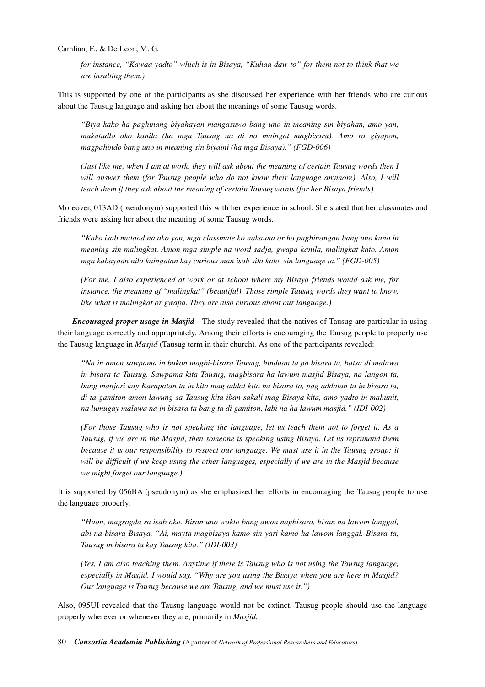*for instance, "Kawaa yadto" which is in Bisaya, "Kuhaa daw to" for them not to think that we are insulting them.)* 

This is supported by one of the participants as she discussed her experience with her friends who are curious about the Tausug language and asking her about the meanings of some Tausug words.

*"Biya kako ha paghinang biyahayan mangasuwo bang uno in meaning sin biyahan, amo yan, makatudlo ako kanila (ha mga Tausug na di na maingat magbisara). Amo ra giyapon, magpahindo bang uno in meaning sin biyaini (ha mga Bisaya)." (FGD-006)* 

*(Just like me, when I am at work, they will ask about the meaning of certain Tausug words then I*  will answer them (for Tausug people who do not know their language anymore). Also, I will *teach them if they ask about the meaning of certain Tausug words (for her Bisaya friends).* 

Moreover, 013AD (pseudonym) supported this with her experience in school. She stated that her classmates and friends were asking her about the meaning of some Tausug words.

*"Kako isab mataod na ako yan, mga classmate ko nakauna or ha paghinangan bang uno kuno in meaning sin malingkat. Amon mga simple na word sadja, gwapa kanila, malingkat kato. Amon mga kabayaan nila kaingatan kay curious man isab sila kato, sin language ta." (FGD-005)* 

*(For me, I also experienced at work or at school where my Bisaya friends would ask me, for instance, the meaning of "malingkat" (beautiful). Those simple Tausug words they want to know, like what is malingkat or gwapa. They are also curious about our language.)* 

*Encouraged proper usage in Masjid -* The study revealed that the natives of Tausug are particular in using their language correctly and appropriately. Among their efforts is encouraging the Tausug people to properly use the Tausug language in *Masjid* (Tausug term in their church). As one of the participants revealed:

*"Na in amon sawpama in bukon magbi-bisara Tausug, hinduan ta pa bisara ta, batsa di malawa in bisara ta Tausug. Sawpama kita Tausug, magbisara ha lawum masjid Bisaya, na langon ta, bang manjari kay Karapatan ta in kita mag addat kita ha bisara ta, pag addatan ta in bisara ta, di ta gamiton amon lawung sa Tausug kita iban sakali mag Bisaya kita, amo yadto in mahunit, na lumugay malawa na in bisara ta bang ta di gamiton, labi na ha lawum masjid." (IDI-002)* 

*(For those Tausug who is not speaking the language, let us teach them not to forget it. As a Tausug, if we are in the Masjid, then someone is speaking using Bisaya. Let us reprimand them because it is our responsibility to respect our language. We must use it in the Tausug group; it will be difficult if we keep using the other languages, especially if we are in the Masjid because we might forget our language.)* 

It is supported by 056BA (pseudonym) as she emphasized her efforts in encouraging the Tausug people to use the language properly.

*"Huon, magsagda ra isab ako. Bisan uno wakto bang awon nagbisara, bisan ha lawom langgal, abi na bisara Bisaya, "Ai, mayta magbisaya kamo sin yari kamo ha lawom langgal. Bisara ta, Tausug in bisara ta kay Tausug kita." (IDI-003)* 

*(Yes, I am also teaching them. Anytime if there is Tausug who is not using the Tausug language, especially in Masjid, I would say, "Why are you using the Bisaya when you are here in Masjid? Our language is Tausug because we are Tausug, and we must use it.")* 

Also, 095UI revealed that the Tausug language would not be extinct. Tausug people should use the language properly wherever or whenever they are, primarily in *Masjid.*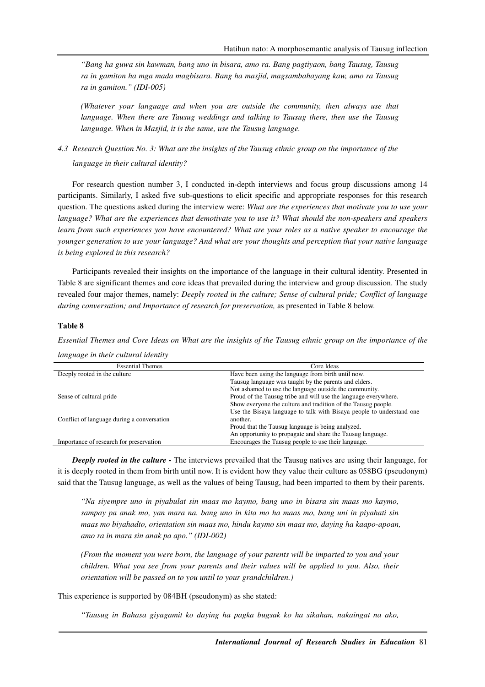*"Bang ha guwa sin kawman, bang uno in bisara, amo ra. Bang pagtiyaon, bang Tausug, Tausug ra in gamiton ha mga mada magbisara. Bang ha masjid, magsambahayang kaw, amo ra Tausug ra in gamiton." (IDI-005)* 

*(Whatever your language and when you are outside the community, then always use that language. When there are Tausug weddings and talking to Tausug there, then use the Tausug language. When in Masjid, it is the same, use the Tausug language.* 

*4.3 Research Question No. 3: What are the insights of the Tausug ethnic group on the importance of the language in their cultural identity?* 

For research question number 3, I conducted in-depth interviews and focus group discussions among 14 participants. Similarly, I asked five sub-questions to elicit specific and appropriate responses for this research question. The questions asked during the interview were: *What are the experiences that motivate you to use your language? What are the experiences that demotivate you to use it? What should the non-speakers and speakers learn from such experiences you have encountered? What are your roles as a native speaker to encourage the younger generation to use your language? And what are your thoughts and perception that your native language is being explored in this research?* 

Participants revealed their insights on the importance of the language in their cultural identity. Presented in Table 8 are significant themes and core ideas that prevailed during the interview and group discussion. The study revealed four major themes, namely: *Deeply rooted in the culture; Sense of cultural pride; Conflict of language during conversation; and Importance of research for preservation,* as presented in Table 8 below.

## **Table 8**

*Essential Themes and Core Ideas on What are the insights of the Tausug ethnic group on the importance of the language in their cultural identity* 

| <b>Essential Themes</b>                    | Core Ideas                                                           |
|--------------------------------------------|----------------------------------------------------------------------|
| Deeply rooted in the culture               | Have been using the language from birth until now.                   |
|                                            | Tausug language was taught by the parents and elders.                |
|                                            | Not ashamed to use the language outside the community.               |
| Sense of cultural pride                    | Proud of the Tausug tribe and will use the language everywhere.      |
|                                            | Show everyone the culture and tradition of the Tausug people.        |
|                                            | Use the Bisaya language to talk with Bisaya people to understand one |
| Conflict of language during a conversation | another.                                                             |
|                                            | Proud that the Tausug language is being analyzed.                    |
|                                            | An opportunity to propagate and share the Tausug language.           |
| Importance of research for preservation    | Encourages the Tausug people to use their language.                  |

*Deeply rooted in the culture -* The interviews prevailed that the Tausug natives are using their language, for it is deeply rooted in them from birth until now. It is evident how they value their culture as 058BG (pseudonym) said that the Tausug language, as well as the values of being Tausug, had been imparted to them by their parents.

*"Na siyempre uno in piyabulat sin maas mo kaymo, bang uno in bisara sin maas mo kaymo, sampay pa anak mo, yan mara na. bang uno in kita mo ha maas mo, bang uni in piyahati sin maas mo biyahadto, orientation sin maas mo, hindu kaymo sin maas mo, daying ha kaapo-apoan, amo ra in mara sin anak pa apo." (IDI-002)* 

*(From the moment you were born, the language of your parents will be imparted to you and your children. What you see from your parents and their values will be applied to you. Also, their orientation will be passed on to you until to your grandchildren.)* 

This experience is supported by 084BH (pseudonym) as she stated:

*"Tausug in Bahasa giyagamit ko daying ha pagka bugsak ko ha sikahan, nakaingat na ako,*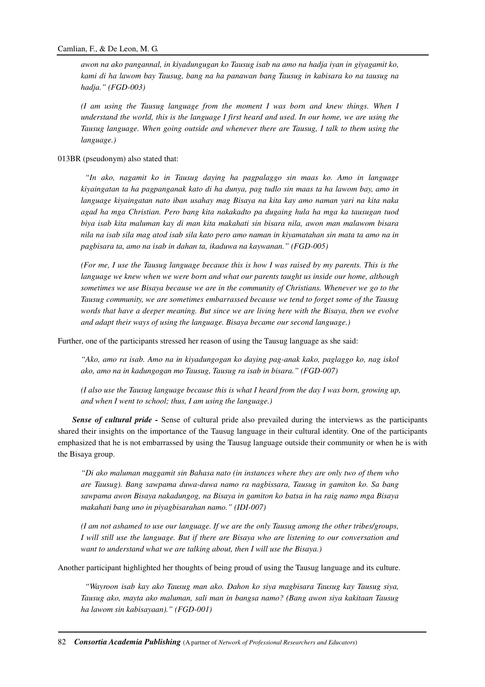*awon na ako pangannal, in kiyadungugan ko Tausug isab na amo na hadja iyan in giyagamit ko, kami di ha lawom bay Tausug, bang na ha panawan bang Tausug in kabisara ko na tausug na hadja." (FGD-003)* 

*(I am using the Tausug language from the moment I was born and knew things. When I understand the world, this is the language I first heard and used. In our home, we are using the Tausug language. When going outside and whenever there are Tausug, I talk to them using the language.)* 

013BR (pseudonym) also stated that:

 *"In ako, nagamit ko in Tausug daying ha pagpalaggo sin maas ko. Amo in language kiyaingatan ta ha pagpanganak kato di ha dunya, pag tudlo sin maas ta ha lawom bay, amo in language kiyaingatan nato iban usahay mag Bisaya na kita kay amo naman yari na kita naka agad ha mga Christian. Pero bang kita nakakadto pa dugaing hula ha mga ka tausugan tuod biya isab kita maluman kay di man kita makahati sin bisara nila, awon man malawom bisara nila na isab sila mag atod isab sila kato pero amo naman in kiyamatahan sin mata ta amo na in pagbisara ta, amo na isab in dahan ta, ikaduwa na kaywanan." (FGD-005)* 

*(For me, I use the Tausug language because this is how I was raised by my parents. This is the language we knew when we were born and what our parents taught us inside our home, although sometimes we use Bisaya because we are in the community of Christians. Whenever we go to the Tausug community, we are sometimes embarrassed because we tend to forget some of the Tausug words that have a deeper meaning. But since we are living here with the Bisaya, then we evolve and adapt their ways of using the language. Bisaya became our second language.)* 

Further, one of the participants stressed her reason of using the Tausug language as she said:

*"Ako, amo ra isab. Amo na in kiyadungogan ko daying pag-anak kako, paglaggo ko, nag iskol ako, amo na in kadungogan mo Tausug, Tausug ra isab in bisara." (FGD-007)* 

*(I also use the Tausug language because this is what I heard from the day I was born, growing up, and when I went to school; thus, I am using the language.)* 

*Sense of cultural pride -* Sense of cultural pride also prevailed during the interviews as the participants shared their insights on the importance of the Tausug language in their cultural identity. One of the participants emphasized that he is not embarrassed by using the Tausug language outside their community or when he is with the Bisaya group.

*"Di ako maluman maggamit sin Bahasa nato (in instances where they are only two of them who are Tausug). Bang sawpama duwa-duwa namo ra nagbissara, Tausug in gamiton ko. Sa bang sawpama awon Bisaya nakadungog, na Bisaya in gamiton ko batsa in ha raig namo mga Bisaya makahati bang uno in piyagbisarahan namo." (IDI-007)* 

*(I am not ashamed to use our language. If we are the only Tausug among the other tribes/groups, I will still use the language. But if there are Bisaya who are listening to our conversation and want to understand what we are talking about, then I will use the Bisaya.)* 

Another participant highlighted her thoughts of being proud of using the Tausug language and its culture.

 *"Wayroon isab kay ako Tausug man ako. Dahon ko siya magbisara Tausug kay Tausug siya, Tausug ako, mayta ako maluman, sali man in bangsa namo? (Bang awon siya kakitaan Tausug ha lawom sin kabisayaan)." (FGD-001)*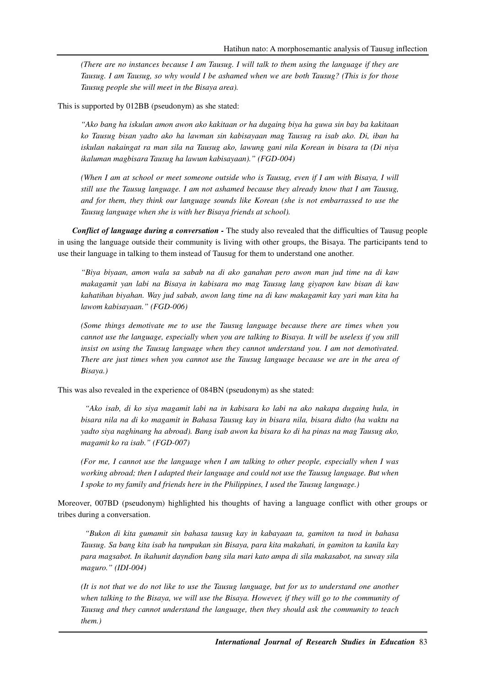*(There are no instances because I am Tausug. I will talk to them using the language if they are Tausug. I am Tausug, so why would I be ashamed when we are both Tausug? (This is for those Tausug people she will meet in the Bisaya area).* 

This is supported by 012BB (pseudonym) as she stated:

*"Ako bang ha iskulan amon awon ako kakitaan or ha dugaing biya ha guwa sin bay ba kakitaan ko Tausug bisan yadto ako ha lawman sin kabisayaan mag Tausug ra isab ako. Di, iban ha iskulan nakaingat ra man sila na Tausug ako, lawung gani nila Korean in bisara ta (Di niya ikaluman magbisara Tausug ha lawum kabisayaan)." (FGD-004)* 

*(When I am at school or meet someone outside who is Tausug, even if I am with Bisaya, I will still use the Tausug language. I am not ashamed because they already know that I am Tausug, and for them, they think our language sounds like Korean (she is not embarrassed to use the Tausug language when she is with her Bisaya friends at school).* 

*Conflict of language during a conversation -* The study also revealed that the difficulties of Tausug people in using the language outside their community is living with other groups, the Bisaya. The participants tend to use their language in talking to them instead of Tausug for them to understand one another.

*"Biya biyaan, amon wala sa sabab na di ako ganahan pero awon man jud time na di kaw makagamit yan labi na Bisaya in kabisara mo mag Tausug lang giyapon kaw bisan di kaw kahatihan biyahan. Way jud sabab, awon lang time na di kaw makagamit kay yari man kita ha lawom kabisayaan." (FGD-006)* 

*(Some things demotivate me to use the Tausug language because there are times when you cannot use the language, especially when you are talking to Bisaya. It will be useless if you still insist on using the Tausug language when they cannot understand you. I am not demotivated. There are just times when you cannot use the Tausug language because we are in the area of Bisaya.)* 

This was also revealed in the experience of 084BN (pseudonym) as she stated:

 *"Ako isab, di ko siya magamit labi na in kabisara ko labi na ako nakapa dugaing hula, in bisara nila na di ko magamit in Bahasa Tausug kay in bisara nila, bisara didto (ha waktu na yadto siya naghinang ha abroad). Bang isab awon ka bisara ko di ha pinas na mag Tausug ako, magamit ko ra isab." (FGD-007)* 

*(For me, I cannot use the language when I am talking to other people, especially when I was working abroad; then I adapted their language and could not use the Tausug language. But when I spoke to my family and friends here in the Philippines, I used the Tausug language.)* 

Moreover, 007BD (pseudonym) highlighted his thoughts of having a language conflict with other groups or tribes during a conversation.

 *"Bukon di kita gumamit sin bahasa tausug kay in kabayaan ta, gamiton ta tuod in bahasa Tausug. Sa bang kita isab ha tumpukan sin Bisaya, para kita makahati, in gamiton ta kanila kay para magsabot. In ikahunit dayndion bang sila mari kato ampa di sila makasabot, na suway sila maguro." (IDI-004)* 

*(It is not that we do not like to use the Tausug language, but for us to understand one another when talking to the Bisaya, we will use the Bisaya. However, if they will go to the community of Tausug and they cannot understand the language, then they should ask the community to teach them.)*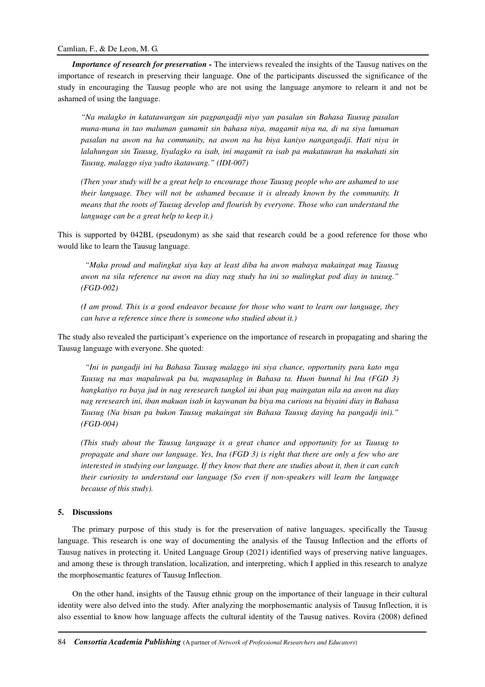*Importance of research for preservation -* The interviews revealed the insights of the Tausug natives on the importance of research in preserving their language. One of the participants discussed the significance of the study in encouraging the Tausug people who are not using the language anymore to relearn it and not be ashamed of using the language.

*"Na malagko in katatawangan sin pagpangadji niyo yan pasalan sin Bahasa Tausug pasalan muna-muna in tao maluman gumamit sin bahasa niya, magamit niya na, di na siya lumuman pasalan na awon na ha community, na awon na ha biya kaniyo nangangadji. Hati niya in lalahungan sin Tausug, liyalagko ra isab, ini magamit ra isab pa makatauran ha makahati sin Tausug, malaggo siya yadto ikatawang." (IDI-007)* 

*(Then your study will be a great help to encourage those Tausug people who are ashamed to use their language. They will not be ashamed because it is already known by the community. It means that the roots of Tausug develop and flourish by everyone. Those who can understand the language can be a great help to keep it.)* 

This is supported by 042BL (pseudonym) as she said that research could be a good reference for those who would like to learn the Tausug language.

 *"Maka proud and malingkat siya kay at least diba ha awon mabaya makaingat mag Tausug awon na sila reference na awon na diay nag study ha ini so malingkat pod diay in tausug." (FGD-002)* 

*(I am proud. This is a good endeavor because for those who want to learn our language, they can have a reference since there is someone who studied about it.)* 

The study also revealed the participant's experience on the importance of research in propagating and sharing the Tausug language with everyone. She quoted:

 *"Ini in pangadji ini ha Bahasa Tausug malaggo ini siya chance, opportunity para kato mga Tausug na mas mapalawak pa ba, mapasaplag in Bahasa ta. Huon bunnal hi Ina (FGD 3) hangkatiyo ra baya jud in nag reresearch tungkol ini iban pag maingatan nila na awon na diay nag reresearch ini, iban makuan isab in kaywanan ba biya ma curious na biyaini diay in Bahasa Tausug (Na bisan pa bukon Tausug makaingat sin Bahasa Tausug daying ha pangadji ini)." (FGD-004)* 

*(This study about the Tausug language is a great chance and opportunity for us Tausug to propagate and share our language. Yes, Ina (FGD 3) is right that there are only a few who are interested in studying our language. If they know that there are studies about it, then it can catch their curiosity to understand our language (So even if non-speakers will learn the language because of this study).* 

## **5. Discussions**

The primary purpose of this study is for the preservation of native languages, specifically the Tausug language. This research is one way of documenting the analysis of the Tausug Inflection and the efforts of Tausug natives in protecting it. United Language Group (2021) identified ways of preserving native languages, and among these is through translation, localization, and interpreting, which I applied in this research to analyze the morphosemantic features of Tausug Inflection.

On the other hand, insights of the Tausug ethnic group on the importance of their language in their cultural identity were also delved into the study. After analyzing the morphosemantic analysis of Tausug Inflection, it is also essential to know how language affects the cultural identity of the Tausug natives. Rovira (2008) defined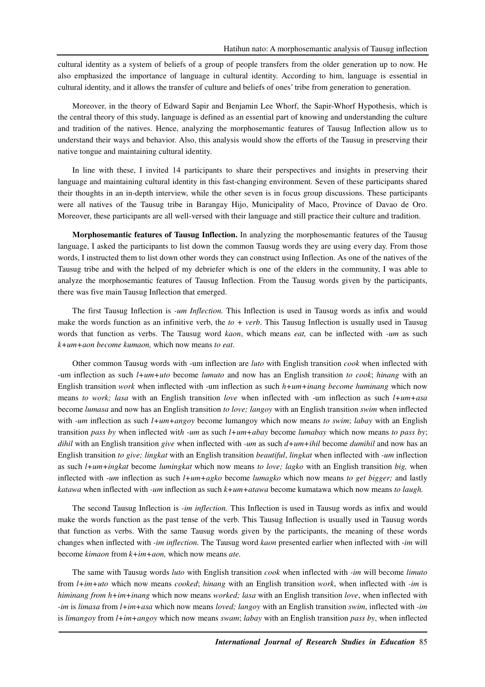cultural identity as a system of beliefs of a group of people transfers from the older generation up to now. He also emphasized the importance of language in cultural identity. According to him, language is essential in cultural identity, and it allows the transfer of culture and beliefs of ones' tribe from generation to generation.

Moreover, in the theory of Edward Sapir and Benjamin Lee Whorf, the Sapir-Whorf Hypothesis, which is the central theory of this study, language is defined as an essential part of knowing and understanding the culture and tradition of the natives. Hence, analyzing the morphosemantic features of Tausug Inflection allow us to understand their ways and behavior. Also, this analysis would show the efforts of the Tausug in preserving their native tongue and maintaining cultural identity.

In line with these, I invited 14 participants to share their perspectives and insights in preserving their language and maintaining cultural identity in this fast-changing environment. Seven of these participants shared their thoughts in an in-depth interview, while the other seven is in focus group discussions. These participants were all natives of the Tausug tribe in Barangay Hijo, Municipality of Maco, Province of Davao de Oro. Moreover, these participants are all well-versed with their language and still practice their culture and tradition.

**Morphosemantic features of Tausug Inflection.** In analyzing the morphosemantic features of the Tausug language, I asked the participants to list down the common Tausug words they are using every day. From those words, I instructed them to list down other words they can construct using Inflection. As one of the natives of the Tausug tribe and with the helped of my debriefer which is one of the elders in the community, I was able to analyze the morphosemantic features of Tausug Inflection. From the Tausug words given by the participants, there was five main Tausug Inflection that emerged.

The first Tausug Inflection is *-um Inflection.* This Inflection is used in Tausug words as infix and would make the words function as an infinitive verb, the  $to + verb$ . This Tausug Inflection is usually used in Tausug words that function as verbs. The Tausug word *kaon*, which means *eat,* can be inflected with *-um* as such *k+um+aon become kumaon,* which now means *to eat*.

Other common Tausug words with -um inflection are *luto* with English transition *cook* when inflected with -um inflection as such *l+um+uto* become *lumuto* and now has an English transition *to cook*; *hinang* with an English transition *work* when inflected with -um inflection as such *h+um+inang become huminang* which now means *to work; lasa* with an English transition *love* when inflected with -um inflection as such *l+um+asa* become *lumasa* and now has an English transition *to love; langoy* with an English transition *swim* when inflected with *-um* inflection as such *l+um+angoy* become lumangoy which now means *to swim*; *labay* with an English transition *pass by* when inflected wit*h -um* as such *l+um+abay* become *lumabay* which now means *to pass by*; *dihil* with an English transition *give* when inflected with *-um* as such *d+um+ihil* become *dumihil* and now has an English transition *to give; lingkat* with an English transition *beautiful*, *lingkat* when inflected with *-um* inflection as such *l+um+ingkat* become *lumingkat* which now means *to love; lagko* with an English transition *big,* when inflected with *-um* inflection as such *l+um+agko* become *lumagko* which now means *to get bigger;* and lastly *katawa* when inflected with *-um* inflection as such *k+um+atawa* become kumatawa which now means *to laugh.* 

The second Tausug Inflection is *-im inflection.* This Inflection is used in Tausug words as infix and would make the words function as the past tense of the verb. This Tausug Inflection is usually used in Tausug words that function as verbs. With the same Tausug words given by the participants, the meaning of these words changes when inflected with *-im inflection.* The Tausug word *kaon* presented earlier when inflected with *-im* will become *kimaon* from *k+im+aon,* which now means *ate.*

The same with Tausug words *luto* with English transition *cook* when inflected with *-im* will become *limuto* from *l+im+uto* which now means *cooked*; *hinang* with an English transition *work*, when inflected with *-im* is *himinang from h+im+inang* which now means *worked; lasa* with an English transition *love*, when inflected with *-im* is *limasa* from *l+im+asa* which now means *loved; langoy* with an English transition *swim*, inflected with *-im* is *limangoy* from *l+im+angoy* which now means *swam*; *labay* with an English transition *pass by*, when inflected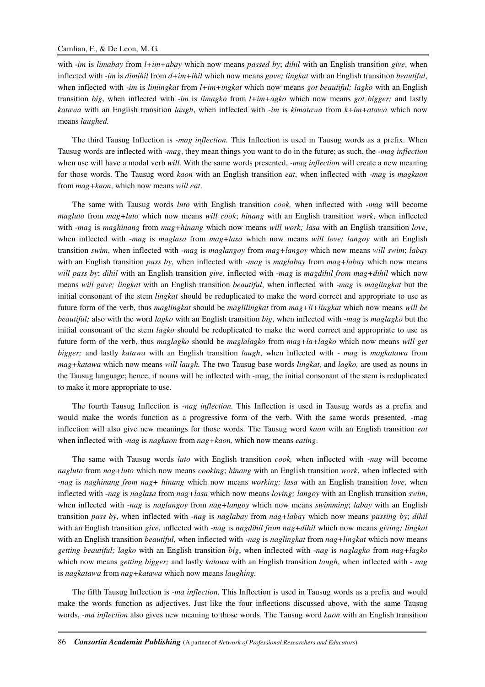### Camlian, F., & De Leon, M. G.

with *-im* is *limabay* from *l+im+abay* which now means *passed by*; *dihil* with an English transition *give*, when inflected with *-im* is *dimihil* from *d+im+ihil* which now means *gave; lingkat* with an English transition *beautiful*, when inflected with *-im* is *limingkat* from *l+im+ingkat* which now means *got beautiful; lagko* with an English transition *big*, when inflected with *-im* is *limagko* from *l+im+agko* which now means *got bigger;* and lastly *katawa* with an English transition *laugh*, when inflected with *-im* is *kimatawa* from *k+im+atawa* which now means *laughed.*

The third Tausug Inflection is *-mag inflection.* This Inflection is used in Tausug words as a prefix. When Tausug words are inflected with *-mag*, they mean things you want to do in the future; as such, the *-mag inflection* when use will have a modal verb *will.* With the same words presented, *-mag inflection* will create a new meaning for those words. The Tausug word *kaon* with an English transition *eat*, when inflected with *-mag* is *magkaon* from *mag+kaon*, which now means *will eat*.

The same with Tausug words *luto* with English transition *cook,* when inflected with *-mag* will become *magluto* from *mag+luto* which now means *will cook*; *hinang* with an English transition *work*, when inflected with -*mag* is *maghinang* from *mag+hinang* which now means *will work; lasa* with an English transition *love*, when inflected with -*mag* is *maglasa* from *mag+lasa* which now means *will love; langoy* with an English transition *swim*, when inflected with *-mag* is *maglangoy* from *mag+langoy* which now means *will swim*; *labay*  with an English transition *pass by*, when inflected with *-mag* is *maglabay* from *mag+labay* which now means *will pass by*; *dihil* with an English transition *give*, inflected with -*mag* is *magdihil from mag+dihil* which now means *will gave; lingkat* with an English transition *beautiful*, when inflected with *-mag* is *maglingkat* but the initial consonant of the stem *lingkat* should be reduplicated to make the word correct and appropriate to use as future form of the verb, thus *maglingkat* should be *maglilingkat* from *mag+li+lingkat* which now means *will be beautiful;* also with the word *lagko* with an English transition *big*, when inflected with -*mag* is *maglagko* but the initial consonant of the stem *lagko* should be reduplicated to make the word correct and appropriate to use as future form of the verb, thus *maglagko* should be *maglalagko* from *mag+la+lagko* which now means *will get bigger;* and lastly *katawa* with an English transition *laugh*, when inflected with - *mag* is *magkatawa* from *mag+katawa* which now means *will laugh.* The two Tausug base words *lingkat,* and *lagko,* are used as nouns in the Tausug language; hence, if nouns will be inflected with -mag, the initial consonant of the stem is reduplicated to make it more appropriate to use.

The fourth Tausug Inflection is *-nag inflection.* This Inflection is used in Tausug words as a prefix and would make the words function as a progressive form of the verb. With the same words presented, -mag inflection will also give new meanings for those words. The Tausug word *kaon* with an English transition *eat* when inflected with *-nag* is *nagkaon* from *nag+kaon,* which now means *eating*.

The same with Tausug words *luto* with English transition *cook,* when inflected with *-nag* will become *nagluto* from *nag+luto* which now means *cooking*; *hinang* with an English transition *work*, when inflected with -*nag* is *naghinang from nag+ hinang* which now means *working; lasa* with an English transition *love*, when inflected with -*nag* is *naglasa* from *nag+lasa* which now means *loving; langoy* with an English transition *swim*, when inflected with *-nag* is *naglangoy* from *nag+langoy* which now means *swimming*; *labay* with an English transition *pass by*, when inflected with *-nag* is *naglabay* from *nag+labay* which now means *passing by*; *dihil* with an English transition *give*, inflected with -*nag* is *nagdihil from nag+dihil* which now means *giving; lingkat*  with an English transition *beautiful*, when inflected with *-nag* is *naglingkat* from *nag+lingkat* which now means *getting beautiful; lagko* with an English transition *big*, when inflected with -*nag* is *naglagko* from *nag+lagko*  which now means *getting bigger;* and lastly *katawa* with an English transition *laugh*, when inflected with - *nag* is *nagkatawa* from *nag+katawa* which now means *laughing.* 

The fifth Tausug Inflection is *-ma inflection.* This Inflection is used in Tausug words as a prefix and would make the words function as adjectives. Just like the four inflections discussed above, with the same Tausug words, *-ma inflection* also gives new meaning to those words. The Tausug word *kaon* with an English transition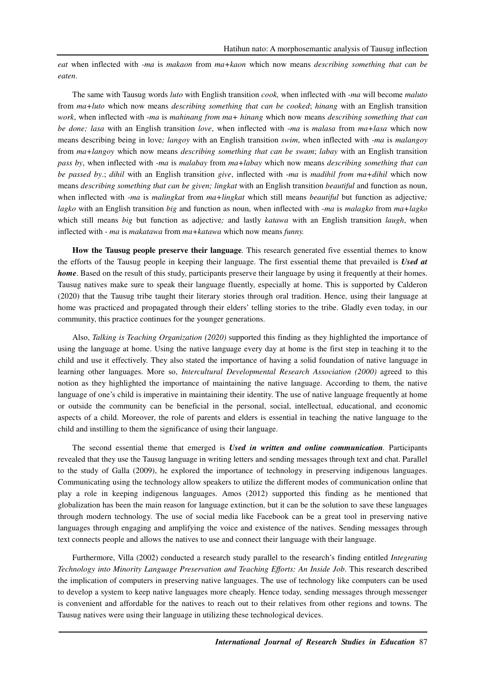*eat* when inflected with *-ma* is *makaon* from *ma+kaon* which now means *describing something that can be eaten*.

The same with Tausug words *luto* with English transition *cook,* when inflected with *-ma* will become *maluto* from *ma+luto* which now means *describing something that can be cooked*; *hinang* with an English transition *work*, when inflected with -*ma* is *mahinang from ma+ hinang* which now means *describing something that can be done; lasa* with an English transition *love*, when inflected with -*ma* is *malasa* from *ma+lasa* which now means describing being in love*; langoy* with an English transition *swim*, when inflected with *-ma* is *malangoy* from *ma+langoy* which now means *describing something that can be swam*; *labay* with an English transition *pass by*, when inflected with *-ma* is *malabay* from *ma+labay* which now means *describing something that can be passed by*.; *dihil* with an English transition *give*, inflected with -*ma* is *madihil from ma+dihil* which now means *describing something that can be given; lingkat* with an English transition *beautiful* and function as noun, when inflected with *-ma* is *malingkat* from  $ma+lingkat$  which still means *beautiful* but function as adjective; *lagko* with an English transition *big* and function as noun, when inflected with -*ma* is *malagko* from *ma+lagko*  which still means *big* but function as adjective*;* and lastly *katawa* with an English transition *laugh*, when inflected with - *ma* is *makatawa* from *ma+katawa* which now means *funny.* 

**How the Tausug people preserve their language**. This research generated five essential themes to know the efforts of the Tausug people in keeping their language. The first essential theme that prevailed is *Used at home*. Based on the result of this study, participants preserve their language by using it frequently at their homes. Tausug natives make sure to speak their language fluently, especially at home. This is supported by Calderon (2020) that the Tausug tribe taught their literary stories through oral tradition. Hence, using their language at home was practiced and propagated through their elders' telling stories to the tribe. Gladly even today, in our community, this practice continues for the younger generations.

Also, *Talking is Teaching Organization (2020)* supported this finding as they highlighted the importance of using the language at home. Using the native language every day at home is the first step in teaching it to the child and use it effectively. They also stated the importance of having a solid foundation of native language in learning other languages. More so, *Intercultural Developmental Research Association (2000)* agreed to this notion as they highlighted the importance of maintaining the native language. According to them, the native language of one's child is imperative in maintaining their identity. The use of native language frequently at home or outside the community can be beneficial in the personal, social, intellectual, educational, and economic aspects of a child. Moreover, the role of parents and elders is essential in teaching the native language to the child and instilling to them the significance of using their language.

The second essential theme that emerged is *Used in written and online communication.* Participants revealed that they use the Tausug language in writing letters and sending messages through text and chat. Parallel to the study of Galla (2009), he explored the importance of technology in preserving indigenous languages. Communicating using the technology allow speakers to utilize the different modes of communication online that play a role in keeping indigenous languages. Amos (2012) supported this finding as he mentioned that globalization has been the main reason for language extinction, but it can be the solution to save these languages through modern technology. The use of social media like Facebook can be a great tool in preserving native languages through engaging and amplifying the voice and existence of the natives. Sending messages through text connects people and allows the natives to use and connect their language with their language.

Furthermore, Villa (2002) conducted a research study parallel to the research's finding entitled *Integrating Technology into Minority Language Preservation and Teaching Efforts: An Inside Job*. This research described the implication of computers in preserving native languages. The use of technology like computers can be used to develop a system to keep native languages more cheaply. Hence today, sending messages through messenger is convenient and affordable for the natives to reach out to their relatives from other regions and towns. The Tausug natives were using their language in utilizing these technological devices.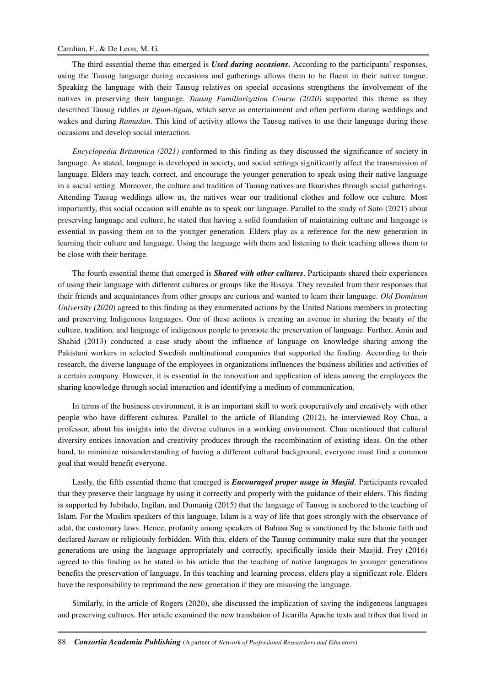## Camlian, F., & De Leon, M. G.

The third essential theme that emerged is *Used during occasions***.** According to the participants' responses, using the Tausug language during occasions and gatherings allows them to be fluent in their native tongue. Speaking the language with their Tausug relatives on special occasions strengthens the involvement of the natives in preserving their language. *Tausug Familiarization Course (2020)* supported this theme as they described Tausug riddles or *tigum-tigum,* which serve as entertainment and often perform during weddings and wakes and during *Ramadan*. This kind of activity allows the Tausug natives to use their language during these occasions and develop social interaction.

*Encyclopedia Britannica (2021)* conformed to this finding as they discussed the significance of society in language. As stated, language is developed in society, and social settings significantly affect the transmission of language. Elders may teach, correct, and encourage the younger generation to speak using their native language in a social setting. Moreover, the culture and tradition of Tausug natives are flourishes through social gatherings. Attending Tausug weddings allow us, the natives wear our traditional clothes and follow our culture. Most importantly, this social occasion will enable us to speak our language. Parallel to the study of Soto (2021) about preserving language and culture, he stated that having a solid foundation of maintaining culture and language is essential in passing them on to the younger generation. Elders play as a reference for the new generation in learning their culture and language. Using the language with them and listening to their teaching allows them to be close with their heritage.

The fourth essential theme that emerged is *Shared with other cultures*. Participants shared their experiences of using their language with different cultures or groups like the Bisaya. They revealed from their responses that their friends and acquaintances from other groups are curious and wanted to learn their language. *Old Dominion University (2020)* agreed to this finding as they enumerated actions by the United Nations members in protecting and preserving Indigenous languages. One of these actions is creating an avenue in sharing the beauty of the culture, tradition, and language of indigenous people to promote the preservation of language. Further, Amin and Shahid (2013) conducted a case study about the influence of language on knowledge sharing among the Pakistani workers in selected Swedish multinational companies that supported the finding. According to their research, the diverse language of the employees in organizations influences the business abilities and activities of a certain company. However, it is essential in the innovation and application of ideas among the employees the sharing knowledge through social interaction and identifying a medium of communication.

In terms of the business environment, it is an important skill to work cooperatively and creatively with other people who have different cultures. Parallel to the article of Blanding (2012), he interviewed Roy Chua, a professor, about his insights into the diverse cultures in a working environment. Chua mentioned that cultural diversity entices innovation and creativity produces through the recombination of existing ideas. On the other hand, to minimize misunderstanding of having a different cultural background, everyone must find a common goal that would benefit everyone.

Lastly, the fifth essential theme that emerged is *Encouraged proper usage in Masjid.* Participants revealed that they preserve their language by using it correctly and properly with the guidance of their elders. This finding is supported by Jubilado, Ingilan, and Dumanig (2015) that the language of Tausug is anchored to the teaching of Islam. For the Muslim speakers of this language, Islam is a way of life that goes strongly with the observance of adat, the customary laws. Hence, profanity among speakers of Bahasa Sug is sanctioned by the Islamic faith and declared *haram* or religiously forbidden. With this, elders of the Tausug community make sure that the younger generations are using the language appropriately and correctly, specifically inside their Masjid. Frey (2016) agreed to this finding as he stated in his article that the teaching of native languages to younger generations benefits the preservation of language. In this teaching and learning process, elders play a significant role. Elders have the responsibility to reprimand the new generation if they are misusing the language.

Similarly, in the article of Rogers (2020), she discussed the implication of saving the indigenous languages and preserving cultures. Her article examined the new translation of Jicarilla Apache texts and tribes that lived in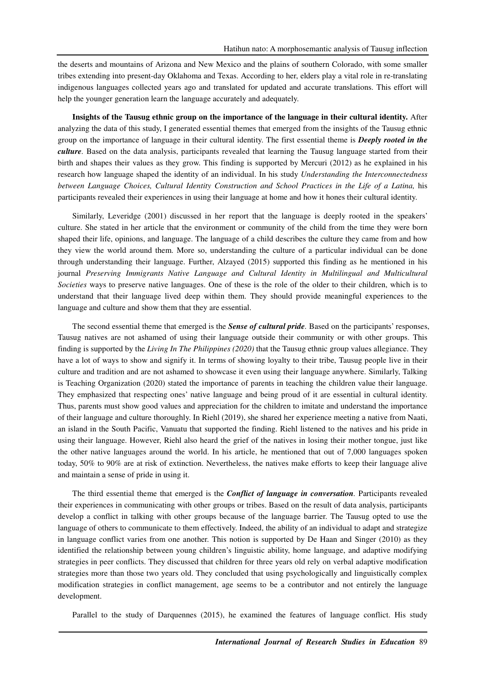the deserts and mountains of Arizona and New Mexico and the plains of southern Colorado, with some smaller tribes extending into present-day Oklahoma and Texas. According to her, elders play a vital role in re-translating indigenous languages collected years ago and translated for updated and accurate translations. This effort will help the younger generation learn the language accurately and adequately.

**Insights of the Tausug ethnic group on the importance of the language in their cultural identity.** After analyzing the data of this study, I generated essential themes that emerged from the insights of the Tausug ethnic group on the importance of language in their cultural identity. The first essential theme is *Deeply rooted in the culture.* Based on the data analysis, participants revealed that learning the Tausug language started from their birth and shapes their values as they grow. This finding is supported by Mercuri (2012) as he explained in his research how language shaped the identity of an individual. In his study *Understanding the Interconnectedness between Language Choices, Cultural Identity Construction and School Practices in the Life of a Latina,* his participants revealed their experiences in using their language at home and how it hones their cultural identity.

Similarly, Leveridge (2001) discussed in her report that the language is deeply rooted in the speakers' culture. She stated in her article that the environment or community of the child from the time they were born shaped their life, opinions, and language. The language of a child describes the culture they came from and how they view the world around them. More so, understanding the culture of a particular individual can be done through understanding their language. Further, Alzayed (2015) supported this finding as he mentioned in his journal *Preserving Immigrants Native Language and Cultural Identity in Multilingual and Multicultural Societies* ways to preserve native languages. One of these is the role of the older to their children, which is to understand that their language lived deep within them. They should provide meaningful experiences to the language and culture and show them that they are essential.

The second essential theme that emerged is the *Sense of cultural pride.* Based on the participants' responses, Tausug natives are not ashamed of using their language outside their community or with other groups. This finding is supported by the *Living In The Philippines (2020)* that the Tausug ethnic group values allegiance. They have a lot of ways to show and signify it. In terms of showing loyalty to their tribe, Tausug people live in their culture and tradition and are not ashamed to showcase it even using their language anywhere. Similarly, Talking is Teaching Organization (2020) stated the importance of parents in teaching the children value their language. They emphasized that respecting ones' native language and being proud of it are essential in cultural identity. Thus, parents must show good values and appreciation for the children to imitate and understand the importance of their language and culture thoroughly. In Riehl (2019), she shared her experience meeting a native from Naati, an island in the South Pacific, Vanuatu that supported the finding. Riehl listened to the natives and his pride in using their language. However, Riehl also heard the grief of the natives in losing their mother tongue, just like the other native languages around the world. In his article, he mentioned that out of 7,000 languages spoken today, 50% to 90% are at risk of extinction. Nevertheless, the natives make efforts to keep their language alive and maintain a sense of pride in using it.

The third essential theme that emerged is the *Conflict of language in conversation.* Participants revealed their experiences in communicating with other groups or tribes. Based on the result of data analysis, participants develop a conflict in talking with other groups because of the language barrier. The Tausug opted to use the language of others to communicate to them effectively. Indeed, the ability of an individual to adapt and strategize in language conflict varies from one another. This notion is supported by De Haan and Singer (2010) as they identified the relationship between young children's linguistic ability, home language, and adaptive modifying strategies in peer conflicts. They discussed that children for three years old rely on verbal adaptive modification strategies more than those two years old. They concluded that using psychologically and linguistically complex modification strategies in conflict management, age seems to be a contributor and not entirely the language development.

Parallel to the study of Darquennes (2015), he examined the features of language conflict. His study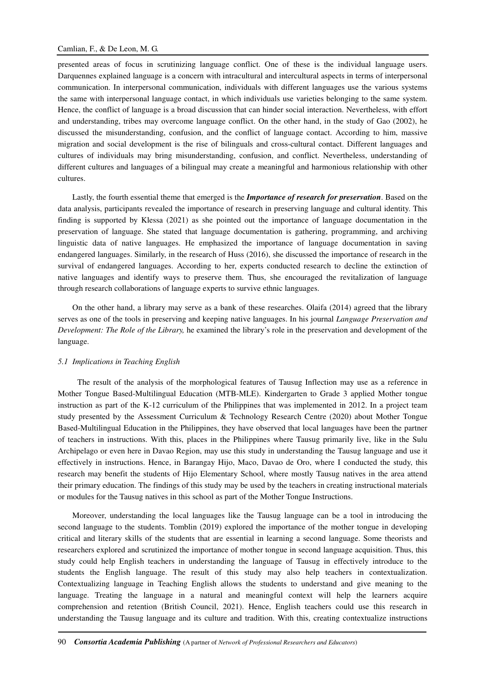presented areas of focus in scrutinizing language conflict. One of these is the individual language users. Darquennes explained language is a concern with intracultural and intercultural aspects in terms of interpersonal communication. In interpersonal communication, individuals with different languages use the various systems the same with interpersonal language contact, in which individuals use varieties belonging to the same system. Hence, the conflict of language is a broad discussion that can hinder social interaction. Nevertheless, with effort and understanding, tribes may overcome language conflict. On the other hand, in the study of Gao (2002), he discussed the misunderstanding, confusion, and the conflict of language contact. According to him, massive migration and social development is the rise of bilinguals and cross-cultural contact. Different languages and cultures of individuals may bring misunderstanding, confusion, and conflict. Nevertheless, understanding of different cultures and languages of a bilingual may create a meaningful and harmonious relationship with other cultures.

Lastly, the fourth essential theme that emerged is the *Importance of research for preservation*. Based on the data analysis, participants revealed the importance of research in preserving language and cultural identity. This finding is supported by Klessa (2021) as she pointed out the importance of language documentation in the preservation of language. She stated that language documentation is gathering, programming, and archiving linguistic data of native languages. He emphasized the importance of language documentation in saving endangered languages. Similarly, in the research of Huss (2016), she discussed the importance of research in the survival of endangered languages. According to her, experts conducted research to decline the extinction of native languages and identify ways to preserve them. Thus, she encouraged the revitalization of language through research collaborations of language experts to survive ethnic languages.

On the other hand, a library may serve as a bank of these researches. Olaifa (2014) agreed that the library serves as one of the tools in preserving and keeping native languages. In his journal *Language Preservation and Development: The Role of the Library,* he examined the library's role in the preservation and development of the language.

#### *5.1 Implications in Teaching English*

The result of the analysis of the morphological features of Tausug Inflection may use as a reference in Mother Tongue Based-Multilingual Education (MTB-MLE). Kindergarten to Grade 3 applied Mother tongue instruction as part of the K-12 curriculum of the Philippines that was implemented in 2012. In a project team study presented by the Assessment Curriculum & Technology Research Centre (2020) about Mother Tongue Based-Multilingual Education in the Philippines, they have observed that local languages have been the partner of teachers in instructions. With this, places in the Philippines where Tausug primarily live, like in the Sulu Archipelago or even here in Davao Region, may use this study in understanding the Tausug language and use it effectively in instructions. Hence, in Barangay Hijo, Maco, Davao de Oro, where I conducted the study, this research may benefit the students of Hijo Elementary School, where mostly Tausug natives in the area attend their primary education. The findings of this study may be used by the teachers in creating instructional materials or modules for the Tausug natives in this school as part of the Mother Tongue Instructions.

Moreover, understanding the local languages like the Tausug language can be a tool in introducing the second language to the students. Tomblin (2019) explored the importance of the mother tongue in developing critical and literary skills of the students that are essential in learning a second language. Some theorists and researchers explored and scrutinized the importance of mother tongue in second language acquisition. Thus, this study could help English teachers in understanding the language of Tausug in effectively introduce to the students the English language. The result of this study may also help teachers in contextualization. Contextualizing language in Teaching English allows the students to understand and give meaning to the language. Treating the language in a natural and meaningful context will help the learners acquire comprehension and retention (British Council, 2021). Hence, English teachers could use this research in understanding the Tausug language and its culture and tradition. With this, creating contextualize instructions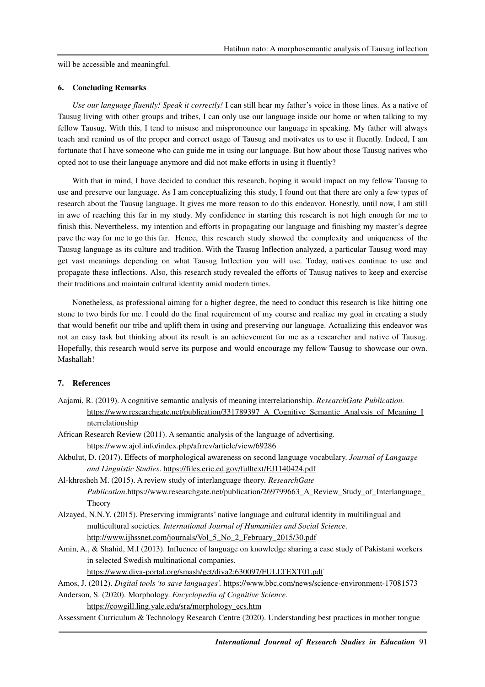will be accessible and meaningful.

### **6. Concluding Remarks**

*Use our language fluently! Speak it correctly!* I can still hear my father's voice in those lines. As a native of Tausug living with other groups and tribes, I can only use our language inside our home or when talking to my fellow Tausug. With this, I tend to misuse and mispronounce our language in speaking. My father will always teach and remind us of the proper and correct usage of Tausug and motivates us to use it fluently. Indeed, I am fortunate that I have someone who can guide me in using our language. But how about those Tausug natives who opted not to use their language anymore and did not make efforts in using it fluently?

With that in mind, I have decided to conduct this research, hoping it would impact on my fellow Tausug to use and preserve our language. As I am conceptualizing this study, I found out that there are only a few types of research about the Tausug language. It gives me more reason to do this endeavor. Honestly, until now, I am still in awe of reaching this far in my study. My confidence in starting this research is not high enough for me to finish this. Nevertheless, my intention and efforts in propagating our language and finishing my master's degree pave the way for me to go this far. Hence, this research study showed the complexity and uniqueness of the Tausug language as its culture and tradition. With the Tausug Inflection analyzed, a particular Tausug word may get vast meanings depending on what Tausug Inflection you will use. Today, natives continue to use and propagate these inflections. Also, this research study revealed the efforts of Tausug natives to keep and exercise their traditions and maintain cultural identity amid modern times.

Nonetheless, as professional aiming for a higher degree, the need to conduct this research is like hitting one stone to two birds for me. I could do the final requirement of my course and realize my goal in creating a study that would benefit our tribe and uplift them in using and preserving our language. Actualizing this endeavor was not an easy task but thinking about its result is an achievement for me as a researcher and native of Tausug. Hopefully, this research would serve its purpose and would encourage my fellow Tausug to showcase our own. Mashallah!

### **7. References**

- Aajami, R. (2019). A cognitive semantic analysis of meaning interrelationship. *ResearchGate Publication.* https://www.researchgate.net/publication/331789397 A Cognitive Semantic Analysis of Meaning I nterrelationship
- African Research Review (2011). A semantic analysis of the language of advertising. https://www.ajol.info/index.php/afrrev/article/view/69286
- Akbulut, D. (2017). Effects of morphological awareness on second language vocabulary. *Journal of Language and Linguistic Studies*. https://files.eric.ed.gov/fulltext/EJ1140424.pdf
- Al-khresheh M. (2015). A review study of interlanguage theory*. ResearchGate Publication*.https://www.researchgate.net/publication/269799663\_A\_Review\_Study\_of\_Interlanguage\_ Theory
- Alzayed, N.N.Y. (2015). Preserving immigrants' native language and cultural identity in multilingual and multicultural societies*. International Journal of Humanities and Social Science.* http://www.ijhssnet.com/journals/Vol\_5\_No\_2\_February\_2015/30.pdf
- Amin, A., & Shahid, M.I (2013). Influence of language on knowledge sharing a case study of Pakistani workers in selected Swedish multinational companies.
	- https://www.diva-portal.org/smash/get/diva2:630097/FULLTEXT01.pdf

```
Amos, J. (2012). Digital tools 'to save languages'. https://www.bbc.com/news/science-environment-17081573 
Anderson, S. (2020). Morphology. Encyclopedia of Cognitive Science.
```
https://cowgill.ling.yale.edu/sra/morphology\_ecs.htm

Assessment Curriculum & Technology Research Centre (2020). Understanding best practices in mother tongue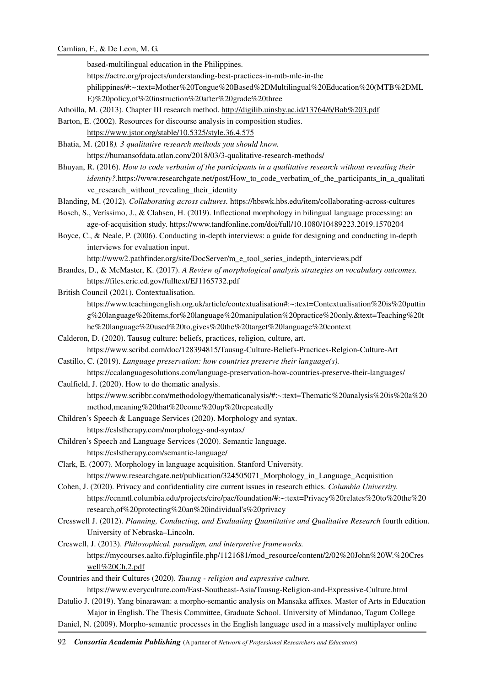based-multilingual education in the Philippines.

https://actrc.org/projects/understanding-best-practices-in-mtb-mle-in-the

philippines/#:~:text=Mother%20Tongue%20Based%2DMultilingual%20Education%20(MTB%2DML

E)%20policy,of%20instruction%20after%20grade%20three

Athoilla, M. (2013). Chapter III research method. http://digilib.uinsby.ac.id/13764/6/Bab%203.pdf

Barton, E. (2002). Resources for discourse analysis in composition studies.

https://www.jstor.org/stable/10.5325/style.36.4.575

Bhatia, M. (2018*). 3 qualitative research methods you should know.*  https://humansofdata.atlan.com/2018/03/3-qualitative-research-methods/

Bhuyan, R. (2016). *How to code verbatim of the participants in a qualitative research without revealing their identity?.*https://www.researchgate.net/post/How\_to\_code\_verbatim\_of\_the\_participants\_in\_a\_qualitati ve research without revealing their identity

Blanding, M. (2012). *Collaborating across cultures.* https://hbswk.hbs.edu/item/collaborating-across-cultures

Bosch, S., Veríssimo, J., & Clahsen, H. (2019). Inflectional morphology in bilingual language processing: an

age-of-acquisition study. https://www.tandfonline.com/doi/full/10.1080/10489223.2019.1570204 Boyce, C., & Neale, P. (2006). Conducting in-depth interviews: a guide for designing and conducting in-depth

interviews for evaluation input.

http://www2.pathfinder.org/site/DocServer/m\_e\_tool\_series\_indepth\_interviews.pdf

Brandes, D., & McMaster, K. (2017). *A Review of morphological analysis strategies on vocabulary outcomes.* https://files.eric.ed.gov/fulltext/EJ1165732.pdf

British Council (2021). Contextualisation.

https://www.teachingenglish.org.uk/article/contextualisation#:~:text=Contextualisation%20is%20puttin g%20language%20items,for%20language%20manipulation%20practice%20only.&text=Teaching%20t he%20language%20used%20to,gives%20the%20target%20language%20context

- Calderon, D. (2020). Tausug culture: beliefs, practices, religion, culture, art. https://www.scribd.com/doc/128394815/Tausug-Culture-Beliefs-Practices-Relgion-Culture-Art
- Castillo, C. (2019). *Language preservation: how countries preserve their language(s).*  https://ccalanguagesolutions.com/language-preservation-how-countries-preserve-their-languages/

Caulfield, J. (2020). How to do thematic analysis. https://www.scribbr.com/methodology/thematicanalysis/#:~:text=Thematic%20analysis%20is%20a%20 method,meaning%20that%20come%20up%20repeatedly

Children's Speech & Language Services (2020). Morphology and syntax.

https://cslstherapy.com/morphology-and-syntax/

- Children's Speech and Language Services (2020). Semantic language. https://cslstherapy.com/semantic-language/
- Clark, E. (2007). Morphology in language acquisition. Stanford University. https://www.researchgate.net/publication/324505071\_Morphology\_in\_Language\_Acquisition
- Cohen, J. (2020). Privacy and confidentiality cire current issues in research ethics. *Columbia University.* https://ccnmtl.columbia.edu/projects/cire/pac/foundation/#:~:text=Privacy%20relates%20to%20the%20 research,of%20protecting%20an%20individual's%20privacy
- Cresswell J. (2012). *Planning, Conducting, and Evaluating Quantitative and Qualitative Research* fourth edition. University of Nebraska–Lincoln.

Creswell, J. (2013). *Philosophical, paradigm, and interpretive frameworks.* https://mycourses.aalto.fi/pluginfile.php/1121681/mod\_resource/content/2/02%20John%20W.%20Cres well%20Ch.2.pdf

Countries and their Cultures (2020). *Tausug - religion and expressive culture.*

https://www.everyculture.com/East-Southeast-Asia/Tausug-Religion-and-Expressive-Culture.html Datulio J. (2019). Yang binarawan: a morpho-semantic analysis on Mansaka affixes. Master of Arts in Education

- Major in English. The Thesis Committee, Graduate School. University of Mindanao, Tagum College
- Daniel, N. (2009). Morpho-semantic processes in the English language used in a massively multiplayer online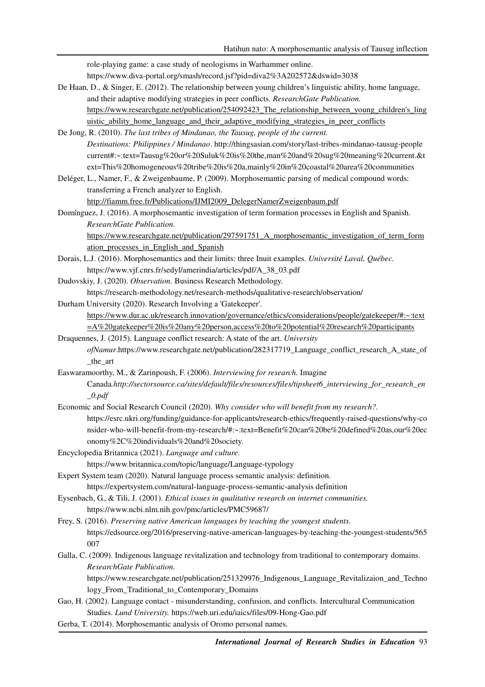role-playing game: a case study of neologisms in Warhammer online.

https://www.diva-portal.org/smash/record.jsf?pid=diva2%3A202572&dswid=3038

De Haan, D., & Singer, E. (2012). The relationship between young children's linguistic ability, home language, and their adaptive modifying strategies in peer conflicts. *ResearchGate Publication.*  https://www.researchgate.net/publication/254092423 The relationship between young children's ling uistic ability home language and their adaptive modifying strategies in peer conflicts

De Jong, R. (2010). *The last tribes of Mindanao, the Tausug, people of the current. Destinations: Philippines / Mindanao*. http://thingsasian.com/story/last-tribes-mindanao-tausug-people current#:~:text=Tausug%20or%20Suluk%20is%20the,man%20and%20sug%20meaning%20current.&t ext=This%20homogeneous%20tribe%20is%20a,mainly%20in%20coastal%20area%20communities

Deléger, L., Namer, F., & Zweigenbaume, P. (2009). Morphosemantic parsing of medical compound words: transferring a French analyzer to English.

http://fiamm.free.fr/Publications/IJMI2009\_DelegerNamerZweigenbaum.pdf

Domínguez, J. (2016). A morphosemantic investigation of term formation processes in English and Spanish. *ResearchGate Publication.*

https://www.researchgate.net/publication/297591751\_A\_morphosemantic\_investigation\_of\_term\_form ation\_processes\_in\_English\_and\_Spanish

- Dorais, L.J. (2016). Morphosemantics and their limits: three Inuit examples. *Université Laval, Québec.* https://www.vjf.cnrs.fr/sedyl/amerindia/articles/pdf/A\_38\_03.pdf
- Dudovskiy, J. (2020). *Observation.* Business Research Methodology.

https://research-methodology.net/research-methods/qualitative-research/observation/

Durham University (2020). Research Involving a 'Gatekeeper'.

https://www.dur.ac.uk/research.innovation/governance/ethics/considerations/people/gatekeeper/#:~:text =A%20gatekeeper%20is%20any%20person,access%20to%20potential%20research%20participants

Draquennes, J. (2015). Language conflict research: A state of the art. *University ofNamur*.https://www.researchgate.net/publication/282317719\_Language\_conflict\_research\_A\_state\_of \_the\_art

Easwaramoorthy, M., & Zarinpoush, F. (2006). *Interviewing for research.* Imagine Canada*.http://sectorsource.ca/sites/default/files/resources/files/tipsheet6\_interviewing\_for\_research\_en \_0.pdf*

- Economic and Social Research Council (2020). *Why consider who will benefit from my research?.* https://esrc.ukri.org/funding/guidance-for-applicants/research-ethics/frequently-raised-questions/why-co nsider-who-will-benefit-from-my-research/#:~:text=Benefit%20can%20be%20defined%20as,our%20ec onomy%2C%20individuals%20and%20society.
- Encyclopedia Britannica (2021). *Language and culture*.

https://www.britannica.com/topic/language/Language-typology

- Expert System team (2020). Natural language process semantic analysis: definition. https://expertsystem.com/natural-language-process-semantic-analysis definition
- Eysenbach, G., & Tili, J. (2001). *Ethical issues in qualitative research on internet communities.* https://www.ncbi.nlm.nih.gov/pmc/articles/PMC59687/

Frey, S. (2016). *Preserving native American languages by teaching the youngest students.* https://edsource.org/2016/preserving-native-american-languages-by-teaching-the-youngest-students/565 007

Galla, C. (2009). Indigenous language revitalization and technology from traditional to contemporary domains. *ResearchGate Publication.* 

https://www.researchgate.net/publication/251329976\_Indigenous\_Language\_Revitalizaion\_and\_Techno logy From Traditional to Contemporary Domains

- Gao, H. (2002). Language contact misunderstanding, confusion, and conflicts. Intercultural Communication Studies. *Lund University.* https://web.uri.edu/iaics/files/09-Hong-Gao.pdf
- Gerba, T. (2014). Morphosemantic analysis of Oromo personal names.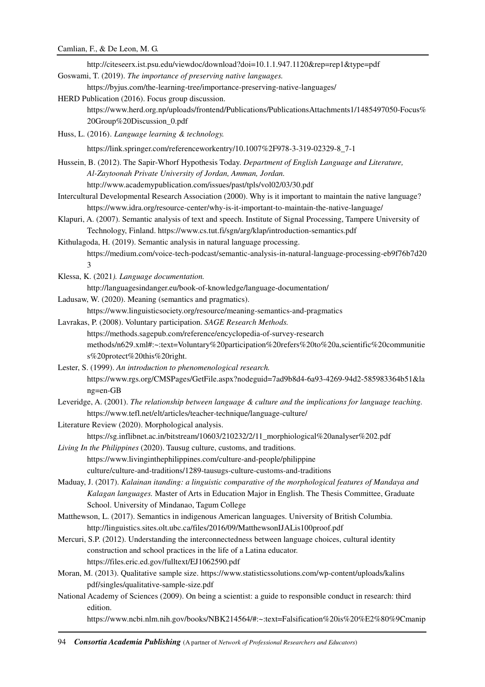| http://citeseerx.ist.psu.edu/viewdoc/download?doi=10.1.1.947.1120&rep=rep1&type=pdf                                                                |
|----------------------------------------------------------------------------------------------------------------------------------------------------|
| Goswami, T. (2019). The importance of preserving native languages.                                                                                 |
| https://byjus.com/the-learning-tree/importance-preserving-native-languages/                                                                        |
| HERD Publication (2016). Focus group discussion.                                                                                                   |
| https://www.herd.org.np/uploads/frontend/Publications/PublicationsAttachments1/1485497050-Focus%                                                   |
| 20Group%20Discussion_0.pdf                                                                                                                         |
| Huss, L. (2016). Language learning & technology.                                                                                                   |
| https://link.springer.com/referenceworkentry/10.1007%2F978-3-319-02329-8_7-1                                                                       |
| Hussein, B. (2012). The Sapir-Whorf Hypothesis Today. Department of English Language and Literature,                                               |
| Al-Zaytoonah Private University of Jordan, Amman, Jordan.                                                                                          |
| http://www.academypublication.com/issues/past/tpls/vol02/03/30.pdf                                                                                 |
| Intercultural Developmental Research Association (2000). Why is it important to maintain the native language?                                      |
| https://www.idra.org/resource-center/why-is-it-important-to-maintain-the-native-language/                                                          |
| Klapuri, A. (2007). Semantic analysis of text and speech. Institute of Signal Processing, Tampere University of                                    |
| Technology, Finland. https://www.cs.tut.fi/sgn/arg/klap/introduction-semantics.pdf                                                                 |
| Kithulagoda, H. (2019). Semantic analysis in natural language processing.                                                                          |
| https://medium.com/voice-tech-podcast/semantic-analysis-in-natural-language-processing-eb9f76b7d20<br>3                                            |
| Klessa, K. (2021). Language documentation.                                                                                                         |
| http://languagesindanger.eu/book-of-knowledge/language-documentation/                                                                              |
| Ladusaw, W. (2020). Meaning (semantics and pragmatics).                                                                                            |
| https://www.linguisticsociety.org/resource/meaning-semantics-and-pragmatics                                                                        |
| Lavrakas, P. (2008). Voluntary participation. SAGE Research Methods.                                                                               |
| https://methods.sagepub.com/reference/encyclopedia-of-survey-research                                                                              |
| methods/n629.xml#:~:text=Voluntary%20participation%20refers%20to%20a,scientific%20communitie                                                       |
| s%20protect%20this%20right.                                                                                                                        |
| Lester, S. (1999). An introduction to phenomenological research.                                                                                   |
| https://www.rgs.org/CMSPages/GetFile.aspx?nodeguid=7ad9b8d4-6a93-4269-94d2-585983364b51&la                                                         |
| ng=en-GB                                                                                                                                           |
| Leveridge, A. (2001). The relationship between language & culture and the implications for language teaching.                                      |
| https://www.tefl.net/elt/articles/teacher-technique/language-culture/                                                                              |
| Literature Review (2020). Morphological analysis.                                                                                                  |
| https://sg.inflibnet.ac.in/bitstream/10603/210232/2/11_morphiological%20analyser%202.pdf                                                           |
| Living In the Philippines (2020). Tausug culture, customs, and traditions.<br>https://www.livinginthephilippines.com/culture-and-people/philippine |
| culture/culture-and-traditions/1289-tausugs-culture-customs-and-traditions                                                                         |
| Maduay, J. (2017). Kalainan itanding: a linguistic comparative of the morphological features of Mandaya and                                        |
| Kalagan languages. Master of Arts in Education Major in English. The Thesis Committee, Graduate                                                    |
| School. University of Mindanao, Tagum College                                                                                                      |
| Matthewson, L. (2017). Semantics in indigenous American languages. University of British Columbia.                                                 |
| http://linguistics.sites.olt.ubc.ca/files/2016/09/MatthewsonIJALis100proof.pdf                                                                     |
| Mercuri, S.P. (2012). Understanding the interconnectedness between language choices, cultural identity                                             |
| construction and school practices in the life of a Latina educator.                                                                                |
| https://files.eric.ed.gov/fulltext/EJ1062590.pdf                                                                                                   |
| Moran, M. (2013). Qualitative sample size. https://www.statisticssolutions.com/wp-content/uploads/kalins                                           |
| pdf/singles/qualitative-sample-size.pdf                                                                                                            |
| National Academy of Sciences (2009). On being a scientist: a guide to responsible conduct in research: third<br>edition.                           |
| https://www.ncbi.nlm.nih.gov/books/NBK214564/#:~:text=Falsification%20is%20%E2%80%9Cmanip                                                          |
|                                                                                                                                                    |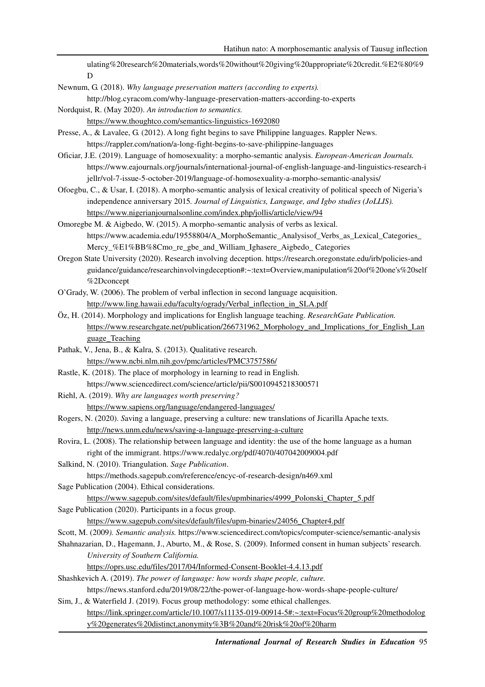ulating%20research%20materials,words%20without%20giving%20appropriate%20credit.%E2%80%9 D

Newnum, G. (2018). *Why language preservation matters (according to experts).*

http://blog.cyracom.com/why-language-preservation-matters-according-to-experts

Nordquist, R. (May 2020). *An introduction to semantics.* https://www.thoughtco.com/semantics-linguistics-1692080

Presse, A., & Lavalee, G. (2012). A long fight begins to save Philippine languages. Rappler News. https://rappler.com/nation/a-long-fight-begins-to-save-philippine-languages

Oficiar, J.E. (2019). Language of homosexuality: a morpho-semantic analysis. *European-American Journals.* https://www.eajournals.org/journals/international-journal-of-english-language-and-linguistics-research-i jellr/vol-7-issue-5-october-2019/language-of-homosexuality-a-morpho-semantic-analysis/

Ofoegbu, C., & Usar, I. (2018). A morpho-semantic analysis of lexical creativity of political speech of Nigeria's independence anniversary 2015*. Journal of Linguistics, Language, and Igbo studies (JoLLIS).* https://www.nigerianjournalsonline.com/index.php/jollis/article/view/94

Omoregbe M. & Aigbedo, W. (2015). A morpho-semantic analysis of verbs as lexical. https://www.academia.edu/19558804/A\_MorphoSemantic\_Analysisof\_Verbs\_as\_Lexical\_Categories\_ Mercy %E1%BB%8Cmo\_re\_gbe\_and\_William\_Ighasere\_Aigbedo\_ Categories

Oregon State University (2020). Research involving deception. https://research.oregonstate.edu/irb/policies-and guidance/guidance/researchinvolvingdeception#:~:text=Overview,manipulation%20of%20one's%20self %2Dconcept

O'Grady, W. (2006). The problem of verbal inflection in second language acquisition. http://www.ling.hawaii.edu/faculty/ogrady/Verbal\_inflection\_in\_SLA.pdf

- Öz, H. (2014). Morphology and implications for English language teaching. *ResearchGate Publication.* https://www.researchgate.net/publication/266731962\_Morphology\_and\_Implications\_for\_English\_Lan guage\_Teaching
- Pathak, V., Jena, B., & Kalra, S. (2013). Qualitative research. https://www.ncbi.nlm.nih.gov/pmc/articles/PMC3757586/
- Rastle, K. (2018). The place of morphology in learning to read in English. https://www.sciencedirect.com/science/article/pii/S0010945218300571
- Riehl, A. (2019). *Why are languages worth preserving?*  https://www.sapiens.org/language/endangered-languages/

Rogers, N. (2020). *S*aving a language, preserving a culture: new translations of Jicarilla Apache texts. http://news.unm.edu/news/saving-a-language-preserving-a-culture

Rovira, L. (2008). The relationship between language and identity: the use of the home language as a human right of the immigrant. https://www.redalyc.org/pdf/4070/407042009004.pdf

Salkind, N. (2010). Triangulation. *Sage Publication*.

https://methods.sagepub.com/reference/encyc-of-research-design/n469.xml

Sage Publication (2004). Ethical considerations.

https://www.sagepub.com/sites/default/files/upmbinaries/4999\_Polonski\_Chapter\_5.pdf Sage Publication (2020). Participants in a focus group.

https://www.sagepub.com/sites/default/files/upm-binaries/24056\_Chapter4.pdf

Scott, M. (2009*). Semantic analysis.* https://www.sciencedirect.com/topics/computer-science/semantic-analysis

Shahnazarian, D., Hagemann, J., Aburto, M., & Rose, S. (2009). Informed consent in human subjects' research. *University of Southern California.* 

https://oprs.usc.edu/files/2017/04/Informed-Consent-Booklet-4.4.13.pdf

Shashkevich A. (2019). *The power of language: how words shape people, culture.*

https://news.stanford.edu/2019/08/22/the-power-of-language-how-words-shape-people-culture/

Sim, J., & Waterfield J. (2019). Focus group methodology: some ethical challenges.

https://link.springer.com/article/10.1007/s11135-019-00914-5#:~:text=Focus%20group%20methodolog y%20generates%20distinct,anonymity%3B%20and%20risk%20of%20harm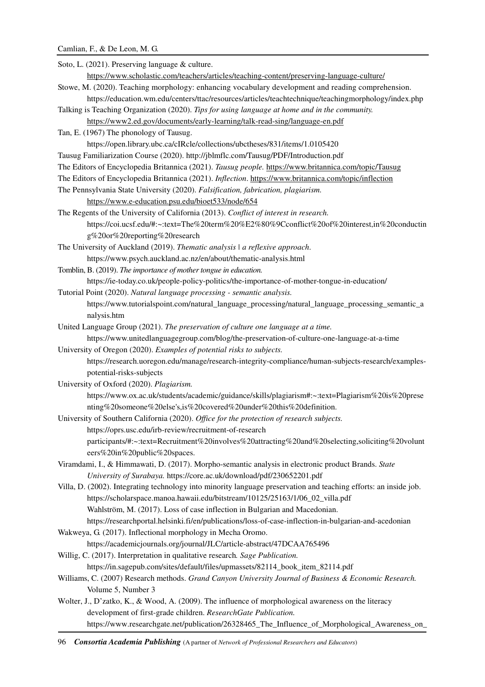# Camlian, F., & De Leon, M. G.

| Soto, L. (2021). Preserving language & culture.                                                                   |
|-------------------------------------------------------------------------------------------------------------------|
| https://www.scholastic.com/teachers/articles/teaching-content/preserving-language-culture/                        |
| Stowe, M. (2020). Teaching morphology: enhancing vocabulary development and reading comprehension.                |
| https://education.wm.edu/centers/ttac/resources/articles/teachtechnique/teachingmorphology/index.php              |
| Talking is Teaching Organization (2020). Tips for using language at home and in the community.                    |
| https://www2.ed.gov/documents/early-learning/talk-read-sing/language-en.pdf                                       |
| Tan, E. (1967) The phonology of Tausug.                                                                           |
| https://open.library.ubc.ca/cIRcle/collections/ubctheses/831/items/1.0105420                                      |
| Tausug Familiarization Course (2020). http://jblmflc.com/Tausug/PDF/Introduction.pdf                              |
| The Editors of Encyclopedia Britannica (2021). Tausug people. https://www.britannica.com/topic/Tausug             |
| The Editors of Encyclopedia Britannica (2021). Inflection. https://www.britannica.com/topic/inflection            |
| The Pennsylvania State University (2020). Falsification, fabrication, plagiarism.                                 |
| https://www.e-education.psu.edu/bioet533/node/654                                                                 |
| The Regents of the University of California (2013). Conflict of interest in research.                             |
| https://coi.ucsf.edu/#:~:text=The%20term%20%E2%80%9Cconflict%20of%20interest,in%20conductin                       |
| g%20or%20reporting%20research                                                                                     |
| The University of Auckland (2019). Thematic analysis   a reflexive approach.                                      |
| https://www.psych.auckland.ac.nz/en/about/thematic-analysis.html                                                  |
| Tomblin, B. (2019). The importance of mother tongue in education.                                                 |
| https://ie-today.co.uk/people-policy-politics/the-importance-of-mother-tongue-in-education/                       |
| Tutorial Point (2020). Natural language processing - semantic analysis.                                           |
| https://www.tutorialspoint.com/natural_language_processing/natural_language_processing_semantic_a                 |
| nalysis.htm                                                                                                       |
| United Language Group (2021). The preservation of culture one language at a time.                                 |
| https://www.unitedlanguagegroup.com/blog/the-preservation-of-culture-one-language-at-a-time                       |
| University of Oregon (2020). Examples of potential risks to subjects.                                             |
| https://research.uoregon.edu/manage/research-integrity-compliance/human-subjects-research/examples-               |
| potential-risks-subjects                                                                                          |
| University of Oxford (2020). Plagiarism.                                                                          |
| https://www.ox.ac.uk/students/academic/guidance/skills/plagiarism#:~:text=Plagiarism%20is%20prese                 |
| nting%20someone%20else's,is%20covered%20under%20this%20definition.                                                |
| University of Southern California (2020). Office for the protection of research subjects.                         |
| https://oprs.usc.edu/irb-review/recruitment-of-research                                                           |
| participants/#:~:text=Recruitment%20involves%20attracting%20and%20selecting,soliciting%20volunt                   |
| eers%20in%20public%20spaces.                                                                                      |
| Viramdami, I., & Himmawati, D. (2017). Morpho-semantic analysis in electronic product Brands. State               |
| University of Surabaya. https://core.ac.uk/download/pdf/230652201.pdf                                             |
| Villa, D. (2002). Integrating technology into minority language preservation and teaching efforts: an inside job. |
| https://scholarspace.manoa.hawaii.edu/bitstream/10125/25163/1/06_02_villa.pdf                                     |
| Wahlström, M. (2017). Loss of case inflection in Bulgarian and Macedonian.                                        |
| https://researchportal.helsinki.fi/en/publications/loss-of-case-inflection-in-bulgarian-and-acedonian             |
| Wakweya, G. (2017). Inflectional morphology in Mecha Oromo.                                                       |
| https://academicjournals.org/journal/JLC/article-abstract/47DCAA765496                                            |
| Willig, C. (2017). Interpretation in qualitative research. Sage Publication.                                      |
| https://in.sagepub.com/sites/default/files/upmassets/82114_book_item_82114.pdf                                    |
| Williams, C. (2007) Research methods. Grand Canyon University Journal of Business & Economic Research.            |
| Volume 5, Number 3                                                                                                |
| Wolter, J., D'zatko, K., & Wood, A. (2009). The influence of morphological awareness on the literacy              |
| development of first-grade children. ResearchGate Publication.                                                    |
| https://www.researchgate.net/publication/26328465_The_Influence_of_Morphological_Awareness_on_                    |